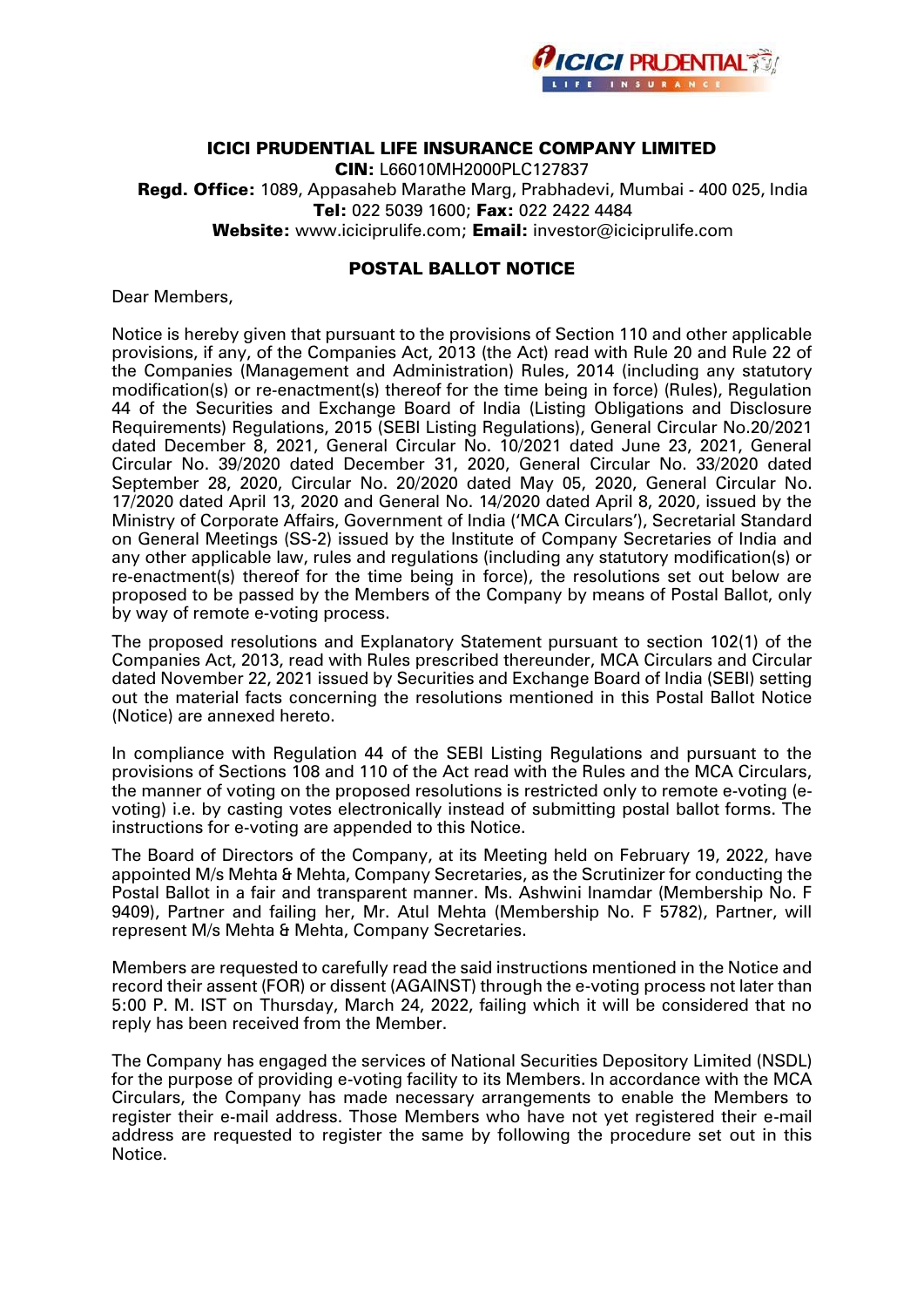

# ICICI PRUDENTIAL LIFE INSURANCE COMPANY LIMITED

CIN: L66010MH2000PLC127837 Regd. Office: 1089, Appasaheb Marathe Marg, Prabhadevi, Mumbai - 400 025, India Tel: 022 5039 1600; Fax: 022 2422 4484 Website: [www.iciciprulife.com;](http://www.iciciprulife.com/) Email: investor@iciciprulife.com

# POSTAL BALLOT NOTICE

Dear Members,

Notice is hereby given that pursuant to the provisions of Section 110 and other applicable provisions, if any, of the Companies Act, 2013 (the Act) read with Rule 20 and Rule 22 of the Companies (Management and Administration) Rules, 2014 (including any statutory modification(s) or re-enactment(s) thereof for the time being in force) (Rules), Regulation 44 of the Securities and Exchange Board of India (Listing Obligations and Disclosure Requirements) Regulations, 2015 (SEBI Listing Regulations), General Circular No.20/2021 dated December 8, 2021, General Circular No. 10/2021 dated June 23, 2021, General Circular No. 39/2020 dated December 31, 2020, General Circular No. 33/2020 dated September 28, 2020, Circular No. 20/2020 dated May 05, 2020, General Circular No. 17/2020 dated April 13, 2020 and General No. 14/2020 dated April 8, 2020, issued by the Ministry of Corporate Affairs, Government of India ('MCA Circulars'), Secretarial Standard on General Meetings (SS-2) issued by the Institute of Company Secretaries of India and any other applicable law, rules and regulations (including any statutory modification(s) or re-enactment(s) thereof for the time being in force), the resolutions set out below are proposed to be passed by the Members of the Company by means of Postal Ballot, only by way of remote e-voting process.

The proposed resolutions and Explanatory Statement pursuant to section 102(1) of the Companies Act, 2013, read with Rules prescribed thereunder, MCA Circulars and Circular dated November 22, 2021 issued by Securities and Exchange Board of India (SEBI) setting out the material facts concerning the resolutions mentioned in this Postal Ballot Notice (Notice) are annexed hereto.

In compliance with Regulation 44 of the SEBI Listing Regulations and pursuant to the provisions of Sections 108 and 110 of the Act read with the Rules and the MCA Circulars, the manner of voting on the proposed resolutions is restricted only to remote e-voting (evoting) i.e. by casting votes electronically instead of submitting postal ballot forms. The instructions for e-voting are appended to this Notice.

The Board of Directors of the Company, at its Meeting held on February 19, 2022, have appointed M/s Mehta & Mehta, Company Secretaries, as the Scrutinizer for conducting the Postal Ballot in a fair and transparent manner. Ms. Ashwini Inamdar (Membership No. F 9409), Partner and failing her, Mr. Atul Mehta (Membership No. F 5782), Partner, will represent M/s Mehta & Mehta, Company Secretaries.

Members are requested to carefully read the said instructions mentioned in the Notice and record their assent (FOR) or dissent (AGAINST) through the e-voting process not later than 5:00 P. M. IST on Thursday, March 24, 2022, failing which it will be considered that no reply has been received from the Member.

The Company has engaged the services of National Securities Depository Limited (NSDL) for the purpose of providing e-voting facility to its Members. In accordance with the MCA Circulars, the Company has made necessary arrangements to enable the Members to register their e-mail address. Those Members who have not yet registered their e-mail address are requested to register the same by following the procedure set out in this Notice.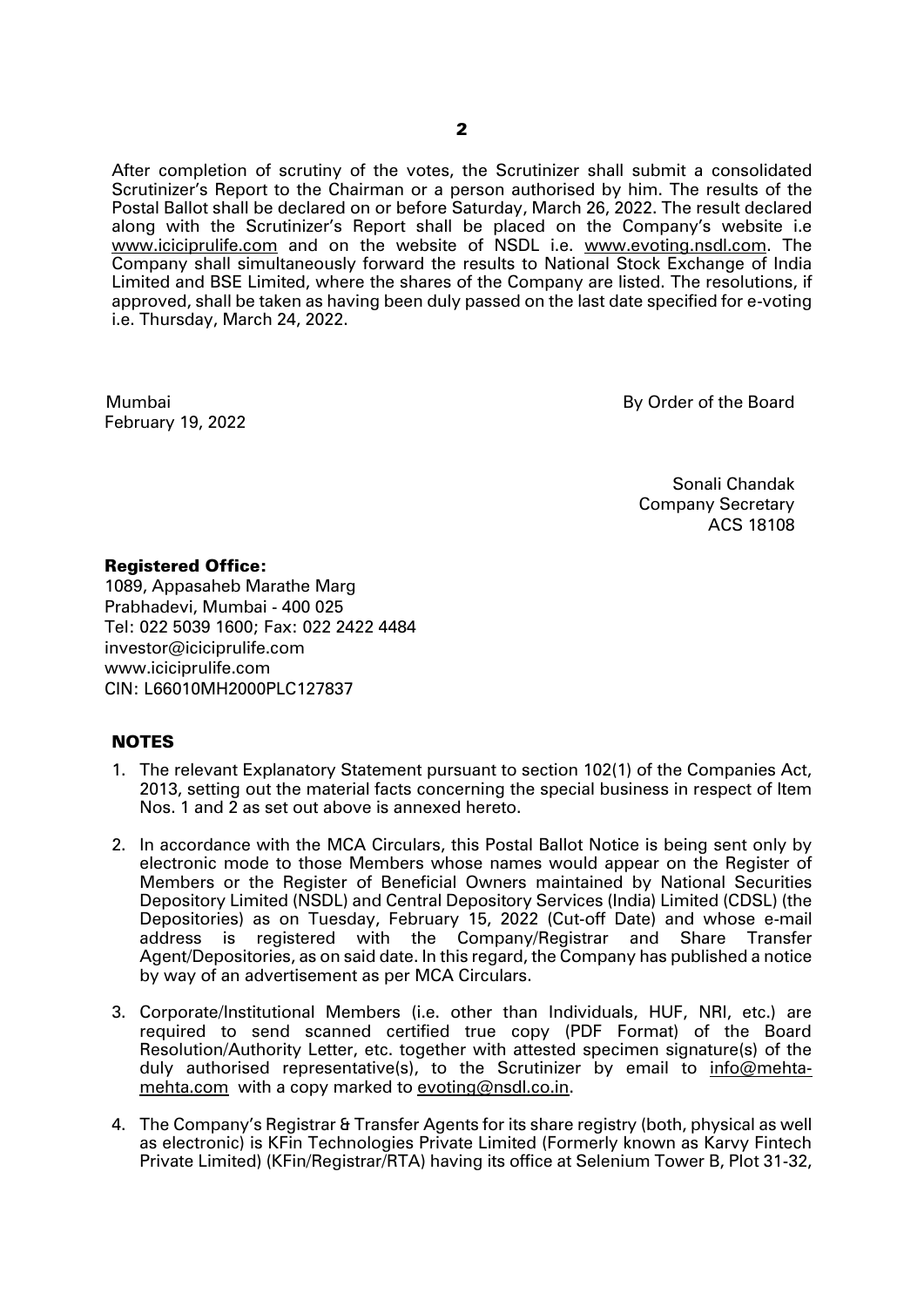After completion of scrutiny of the votes, the Scrutinizer shall submit a consolidated Scrutinizer's Report to the Chairman or a person authorised by him. The results of the Postal Ballot shall be declared on or before Saturday, March 26, 2022. The result declared along with the Scrutinizer's Report shall be placed on the Company's website i.e [www.iciciprulife.com](http://www.iciciprulife.com/) and on the website of NSDL i.e. [www.evoting.nsdl.com.](http://www.evoting.nsdl.com/) The Company shall simultaneously forward the results to National Stock Exchange of India Limited and BSE Limited, where the shares of the Company are listed. The resolutions, if approved, shall be taken as having been duly passed on the last date specified for e-voting i.e. Thursday, March 24, 2022.

Mumbai February 19, 2022 By Order of the Board

 Sonali Chandak Company Secretary ACS 18108

# Registered Office:

1089, Appasaheb Marathe Marg Prabhadevi, Mumbai - 400 025 Tel: 022 5039 1600; Fax: 022 2422 4484 investor@iciciprulife.com [www.iciciprulife.com](http://www.iciciprulife.com/) CIN: L66010MH2000PLC127837

# **NOTES**

- 1. The relevant Explanatory Statement pursuant to section 102(1) of the Companies Act, 2013, setting out the material facts concerning the special business in respect of Item Nos. 1 and 2 as set out above is annexed hereto.
- 2. In accordance with the MCA Circulars, this Postal Ballot Notice is being sent only by electronic mode to those Members whose names would appear on the Register of Members or the Register of Beneficial Owners maintained by National Securities Depository Limited (NSDL) and Central Depository Services (India) Limited (CDSL) (the Depositories) as on Tuesday, February 15, 2022 (Cut-off Date) and whose e-mail address is registered with the Company/Registrar and Share Transfer Agent/Depositories, as on said date. In this regard, the Company has published a notice by way of an advertisement as per MCA Circulars.
- 3. Corporate/Institutional Members (i.e. other than Individuals, HUF, NRI, etc.) are required to send scanned certified true copy (PDF Format) of the Board Resolution/Authority Letter, etc. together with attested specimen signature(s) of the duly authorised representative(s), to the Scrutinizer by email to [info@mehta](mailto:info@mehta-mehta.com)[mehta.com](mailto:info@mehta-mehta.com) with a copy marked to [evoting@nsdl.co.in.](mailto:evoting@nsdl.co.in)
- 4. The Company's Registrar & Transfer Agents for its share registry (both, physical as well as electronic) is KFin Technologies Private Limited (Formerly known as Karvy Fintech Private Limited) (KFin/Registrar/RTA) having its office at Selenium Tower B, Plot 31-32,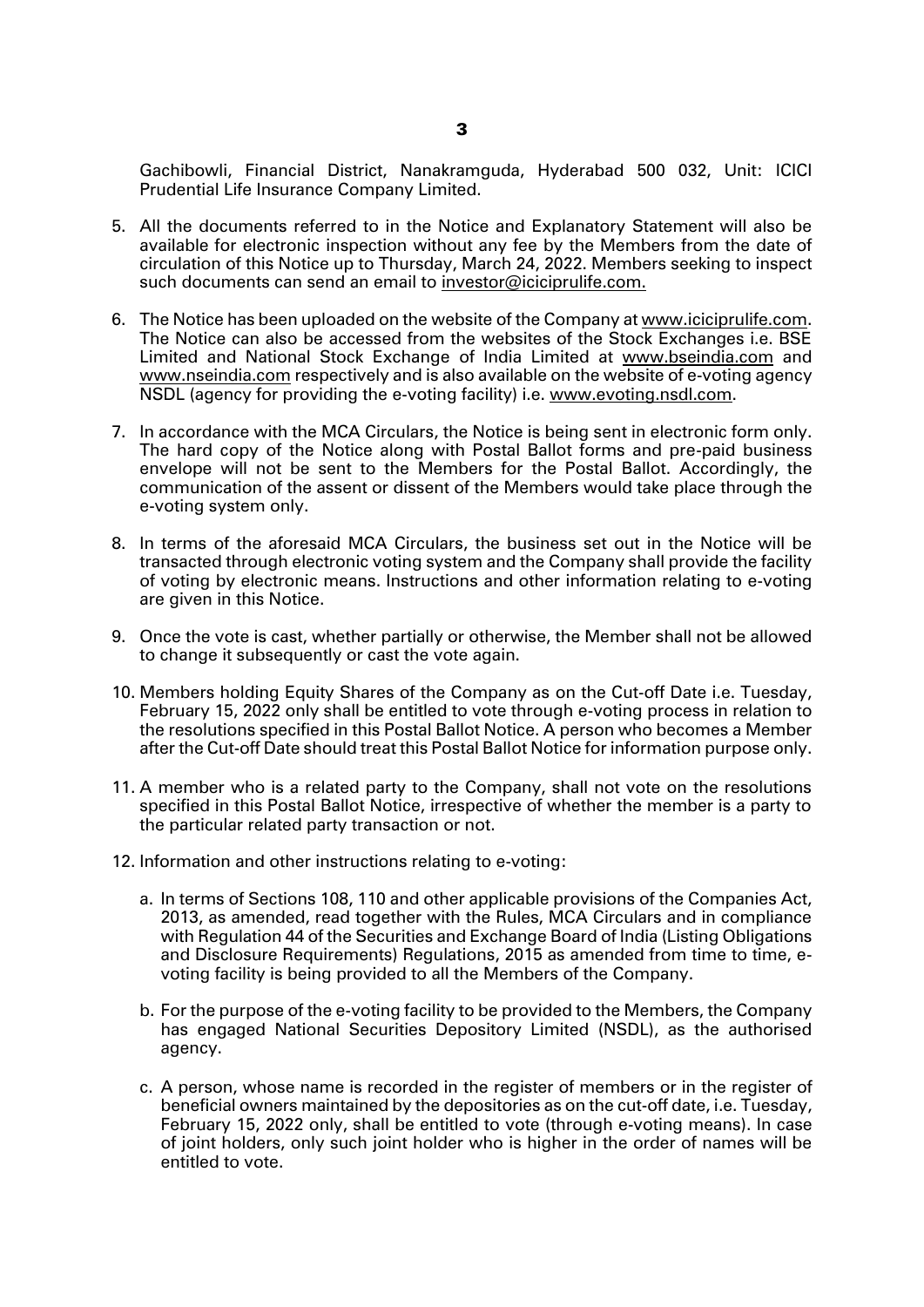Gachibowli, Financial District, Nanakramguda, Hyderabad 500 032, Unit: ICICI Prudential Life Insurance Company Limited.

- 5. All the documents referred to in the Notice and Explanatory Statement will also be available for electronic inspection without any fee by the Members from the date of circulation of this Notice up to Thursday, March 24, 2022. Members seeking to inspect such documents can send an email to [investor@iciciprulife.com.](mailto:investor@iciciprulife.com)
- 6. The Notice has been uploaded on the website of the Company a[t www.iciciprulife.com.](http://www.iciciprulife.com/) The Notice can also be accessed from the websites of the Stock Exchanges i.e. BSE Limited and National Stock Exchange of India Limited at www.bseindia.com and www.nseindia.com respectively and is also available on the website of e-voting agency NSDL (agency for providing the e-voting facility) i.e. [www.evoting.nsdl.com.](http://www.evoting.nsdl.com/)
- 7. In accordance with the MCA Circulars, the Notice is being sent in electronic form only. The hard copy of the Notice along with Postal Ballot forms and pre-paid business envelope will not be sent to the Members for the Postal Ballot. Accordingly, the communication of the assent or dissent of the Members would take place through the e-voting system only.
- 8. In terms of the aforesaid MCA Circulars, the business set out in the Notice will be transacted through electronic voting system and the Company shall provide the facility of voting by electronic means. Instructions and other information relating to e-voting are given in this Notice.
- 9. Once the vote is cast, whether partially or otherwise, the Member shall not be allowed to change it subsequently or cast the vote again.
- 10. Members holding Equity Shares of the Company as on the Cut-off Date i.e. Tuesday, February 15, 2022 only shall be entitled to vote through e-voting process in relation to the resolutions specified in this Postal Ballot Notice. A person who becomes a Member after the Cut-off Date should treat this Postal Ballot Notice for information purpose only.
- 11. A member who is a related party to the Company, shall not vote on the resolutions specified in this Postal Ballot Notice, irrespective of whether the member is a party to the particular related party transaction or not.
- 12. Information and other instructions relating to e-voting:
	- a. In terms of Sections 108, 110 and other applicable provisions of the Companies Act, 2013, as amended, read together with the Rules, MCA Circulars and in compliance with Regulation 44 of the Securities and Exchange Board of India (Listing Obligations and Disclosure Requirements) Regulations, 2015 as amended from time to time, evoting facility is being provided to all the Members of the Company.
	- b. For the purpose of the e-voting facility to be provided to the Members, the Company has engaged National Securities Depository Limited (NSDL), as the authorised agency.
	- c. A person, whose name is recorded in the register of members or in the register of beneficial owners maintained by the depositories as on the cut-off date, i.e. Tuesday, February 15, 2022 only, shall be entitled to vote (through e-voting means). In case of joint holders, only such joint holder who is higher in the order of names will be entitled to vote.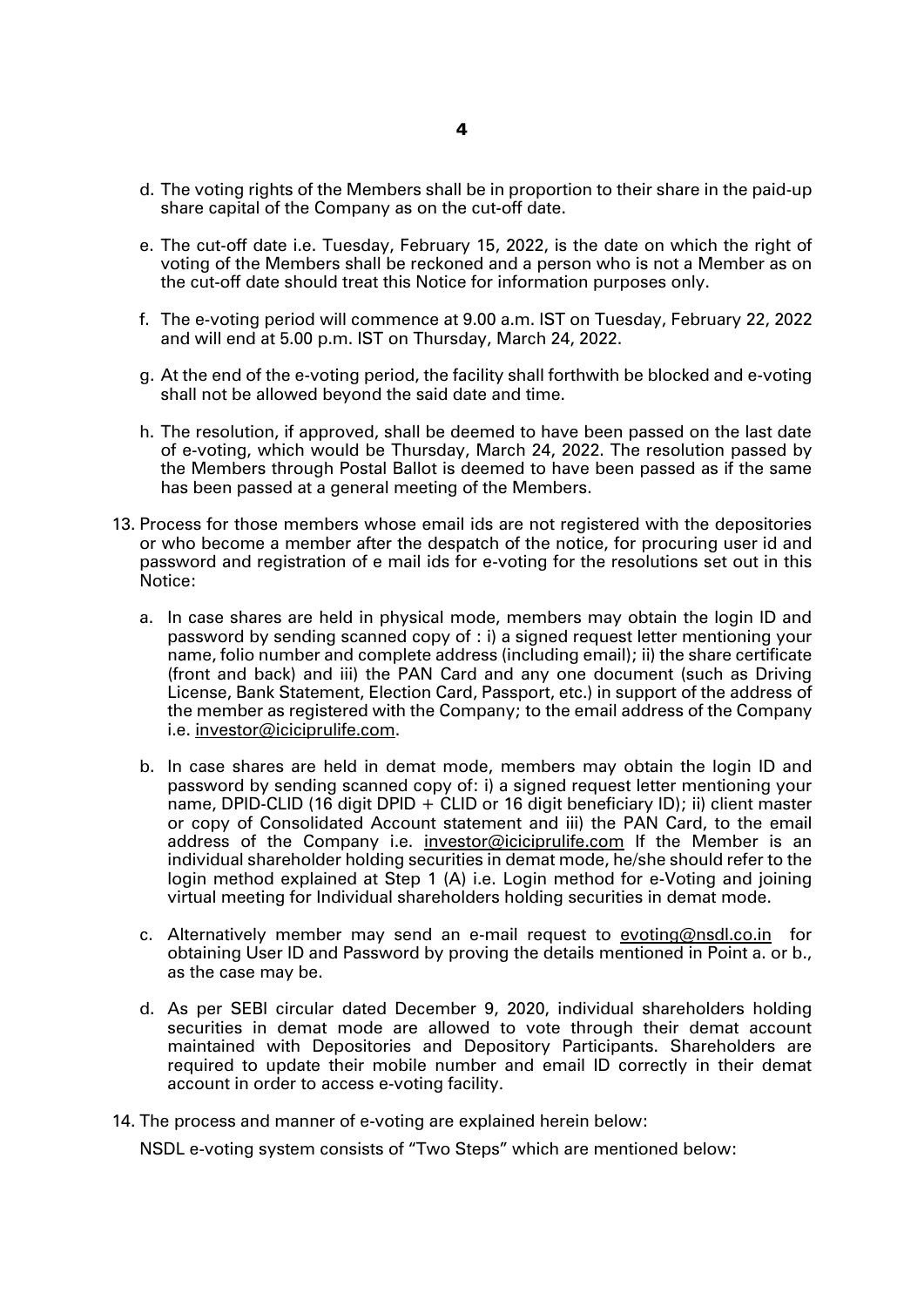- d. The voting rights of the Members shall be in proportion to their share in the paid-up share capital of the Company as on the cut-off date.
- e. The cut-off date i.e. Tuesday, February 15, 2022, is the date on which the right of voting of the Members shall be reckoned and a person who is not a Member as on the cut-off date should treat this Notice for information purposes only.
- f. The e-voting period will commence at 9.00 a.m. IST on Tuesday, February 22, 2022 and will end at 5.00 p.m. IST on Thursday, March 24, 2022.
- g. At the end of the e-voting period, the facility shall forthwith be blocked and e-voting shall not be allowed beyond the said date and time.
- h. The resolution, if approved, shall be deemed to have been passed on the last date of e-voting, which would be Thursday, March 24, 2022. The resolution passed by the Members through Postal Ballot is deemed to have been passed as if the same has been passed at a general meeting of the Members.
- 13. Process for those members whose email ids are not registered with the depositories or who become a member after the despatch of the notice, for procuring user id and password and registration of e mail ids for e-voting for the resolutions set out in this Notice:
	- a. In case shares are held in physical mode, members may obtain the login ID and password by sending scanned copy of : i) a signed request letter mentioning your name, folio number and complete address (including email); ii) the share certificate (front and back) and iii) the PAN Card and any one document (such as Driving License, Bank Statement, Election Card, Passport, etc.) in support of the address of the member as registered with the Company; to the email address of the Company i.e. [investor@iciciprulife.com.](mailto:investor@iciciprulife.com)
	- b. In case shares are held in demat mode, members may obtain the login ID and password by sending scanned copy of: i) a signed request letter mentioning your name, DPID-CLID (16 digit DPID + CLID or 16 digit beneficiary ID); ii) client master or copy of Consolidated Account statement and iii) the PAN Card, to the email address of the Company i.e. [investor@iciciprulife.com](mailto:investor@iciciprulife.com) If the Member is an individual shareholder holding securities in demat mode, he/she should refer to the login method explained at Step 1 (A) i.e. Login method for e-Voting and joining virtual meeting for Individual shareholders holding securities in demat mode.
	- c. Alternatively member may send an e-mail request to [evoting@nsdl.co.in](mailto:evoting@nsdl.co.in) for obtaining User ID and Password by proving the details mentioned in Point a. or b., as the case may be.
	- d. As per SEBI circular dated December 9, 2020, individual shareholders holding securities in demat mode are allowed to vote through their demat account maintained with Depositories and Depository Participants. Shareholders are required to update their mobile number and email ID correctly in their demat account in order to access e-voting facility.
- 14. The process and manner of e-voting are explained herein below:

NSDL e-voting system consists of "Two Steps" which are mentioned below: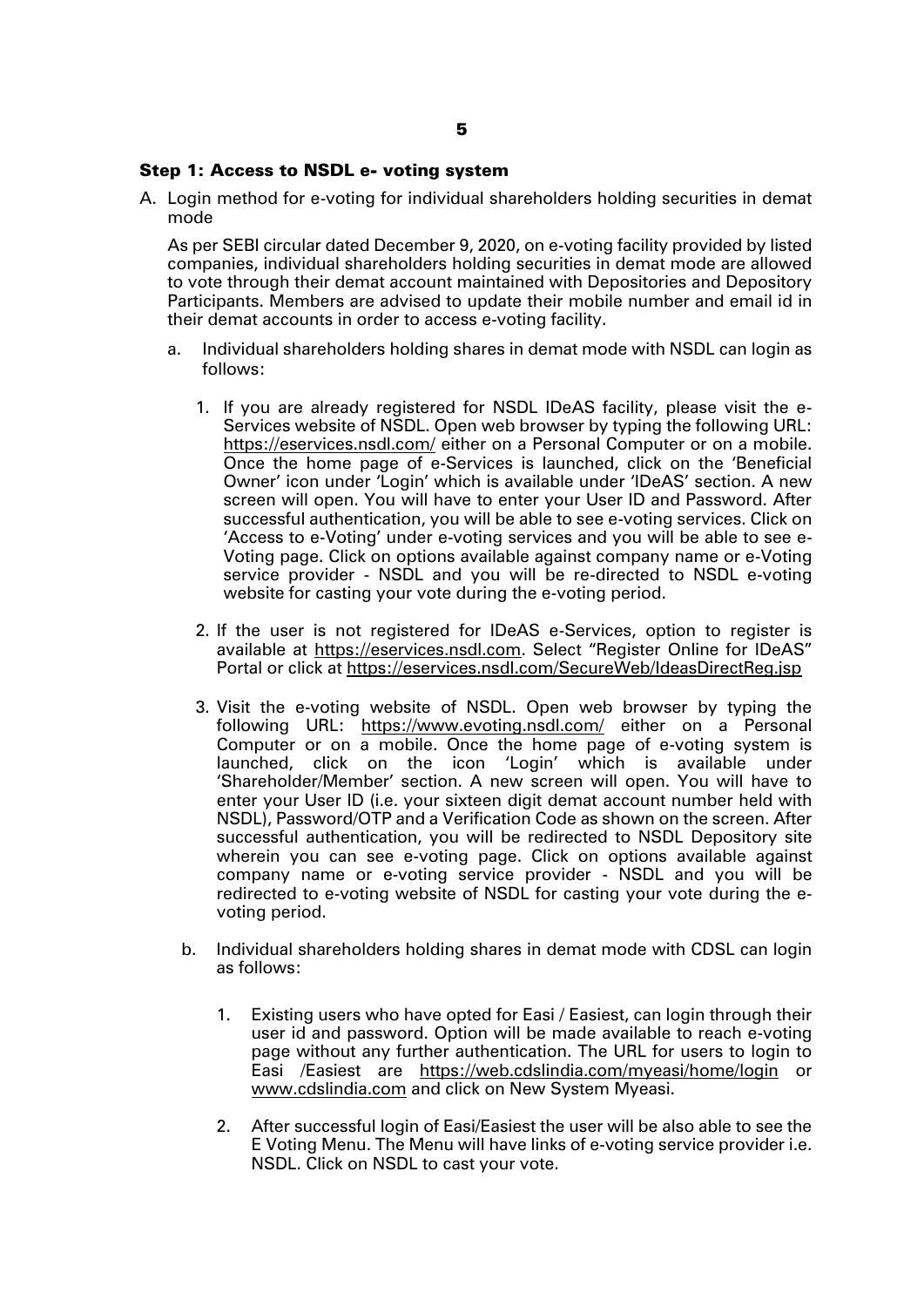#### Step 1: Access to NSDL e- voting system

A. Login method for e-voting for individual shareholders holding securities in demat mode

As per SEBI circular dated December 9, 2020, on e-voting facility provided by listed companies, individual shareholders holding securities in demat mode are allowed to vote through their demat account maintained with Depositories and Depository Participants. Members are advised to update their mobile number and email id in their demat accounts in order to access e-voting facility.

- a. Individual shareholders holding shares in demat mode with NSDL can login as follows:
	- 1. If you are already registered for NSDL IDeAS facility, please visit the e-Services website of NSDL. Open web browser by typing the following URL: <https://eservices.nsdl.com/> either on a Personal Computer or on a mobile. Once the home page of e-Services is launched, click on the 'Beneficial Owner' icon under 'Login' which is available under 'IDeAS' section. A new screen will open. You will have to enter your User ID and Password. After successful authentication, you will be able to see e-voting services. Click on 'Access to e-Voting' under e-voting services and you will be able to see e-Voting page. Click on options available against company name or e-Voting service provider - NSDL and you will be re-directed to NSDL e-voting website for casting your vote during the e-voting period.
	- 2. If the user is not registered for IDeAS e-Services, option to register is available at [https://eservices.nsdl.com](https://eservices.nsdl.com/). Select "Register Online for IDeAS" Portal or click at<https://eservices.nsdl.com/SecureWeb/IdeasDirectReg.jsp>
	- 3. Visit the e-voting website of NSDL. Open web browser by typing the following URL: <https://www.evoting.nsdl.com/> either on a Personal Computer or on a mobile. Once the home page of e-voting system is launched, click on the icon 'Login' which is available under 'Shareholder/Member' section. A new screen will open. You will have to enter your User ID (i.e. your sixteen digit demat account number held with NSDL), Password/OTP and a Verification Code as shown on the screen. After successful authentication, you will be redirected to NSDL Depository site wherein you can see e-voting page. Click on options available against company name or e-voting service provider - NSDL and you will be redirected to e-voting website of NSDL for casting your vote during the evoting period.
	- b. Individual shareholders holding shares in demat mode with CDSL can login as follows:
		- 1. Existing users who have opted for Easi / Easiest, can login through their user id and password. Option will be made available to reach e-voting page without any further authentication. The URL for users to login to Easi /Easiest are <https://web.cdslindia.com/myeasi/home/login> or [www.cdslindia.com](http://www.cdslindia.com/) and click on New System Myeasi.
		- 2. After successful login of Easi/Easiest the user will be also able to see the E Voting Menu. The Menu will have links of e-voting service provider i.e. NSDL. Click on NSDL to cast your vote.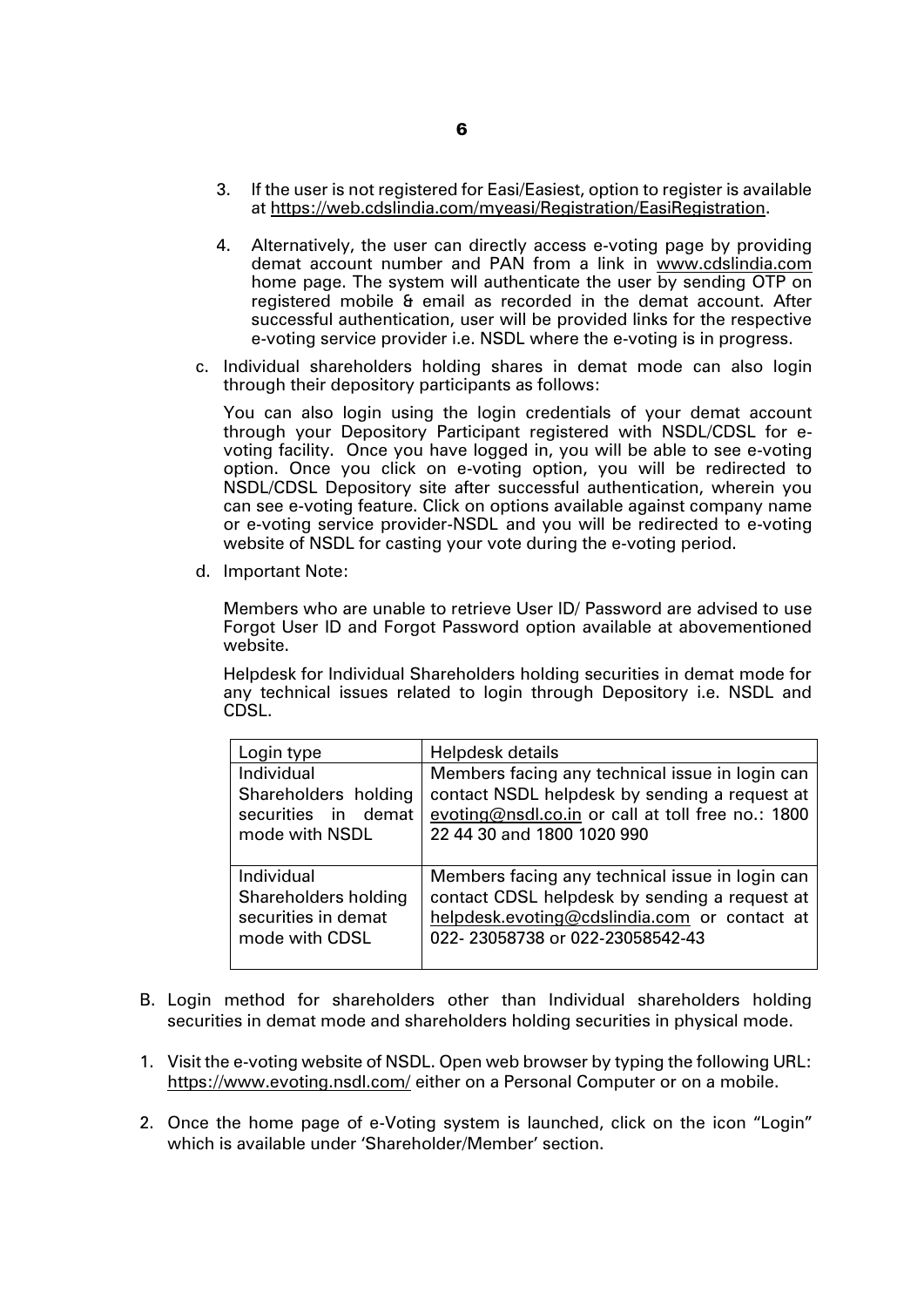- 3. If the user is not registered for Easi/Easiest, option to register is available at [https://web.cdslindia.com/myeasi/Registration/EasiRegistration.](https://web.cdslindia.com/myeasi/Registration/EasiRegistration)
- 4. Alternatively, the user can directly access e-voting page by providing demat account number and PAN from a link in [www.cdslindia.com](http://www.cdslindia.com/) home page. The system will authenticate the user by sending OTP on registered mobile & email as recorded in the demat account. After successful authentication, user will be provided links for the respective e-voting service provider i.e. NSDL where the e-voting is in progress.
- c. Individual shareholders holding shares in demat mode can also login through their depository participants as follows:

You can also login using the login credentials of your demat account through your Depository Participant registered with NSDL/CDSL for evoting facility. Once you have logged in, you will be able to see e-voting option. Once you click on e-voting option, you will be redirected to NSDL/CDSL Depository site after successful authentication, wherein you can see e-voting feature. Click on options available against company name or e-voting service provider-NSDL and you will be redirected to e-voting website of NSDL for casting your vote during the e-voting period.

d. Important Note:

Members who are unable to retrieve User ID/ Password are advised to use Forgot User ID and Forgot Password option available at abovementioned website.

Helpdesk for Individual Shareholders holding securities in demat mode for any technical issues related to login through Depository i.e. NSDL and CDSL.

| Login type           | Helpdesk details                                  |
|----------------------|---------------------------------------------------|
| Individual           | Members facing any technical issue in login can   |
| Shareholders holding | contact NSDL helpdesk by sending a request at     |
| securities in demat  | evoting@nsdl.co.in or call at toll free no.: 1800 |
| mode with NSDL       | 22 44 30 and 1800 1020 990                        |
| Individual           | Members facing any technical issue in login can   |
| Shareholders holding | contact CDSL helpdesk by sending a request at     |
| securities in demat  | helpdesk.evoting@cdslindia.com or contact at      |
| mode with CDSL       | 022-23058738 or 022-23058542-43                   |

- B. Login method for shareholders other than Individual shareholders holding securities in demat mode and shareholders holding securities in physical mode.
- 1. Visit the e-voting website of NSDL. Open web browser by typing the following URL: <https://www.evoting.nsdl.com/> either on a Personal Computer or on a mobile.
- 2. Once the home page of e-Voting system is launched, click on the icon "Login" which is available under 'Shareholder/Member' section.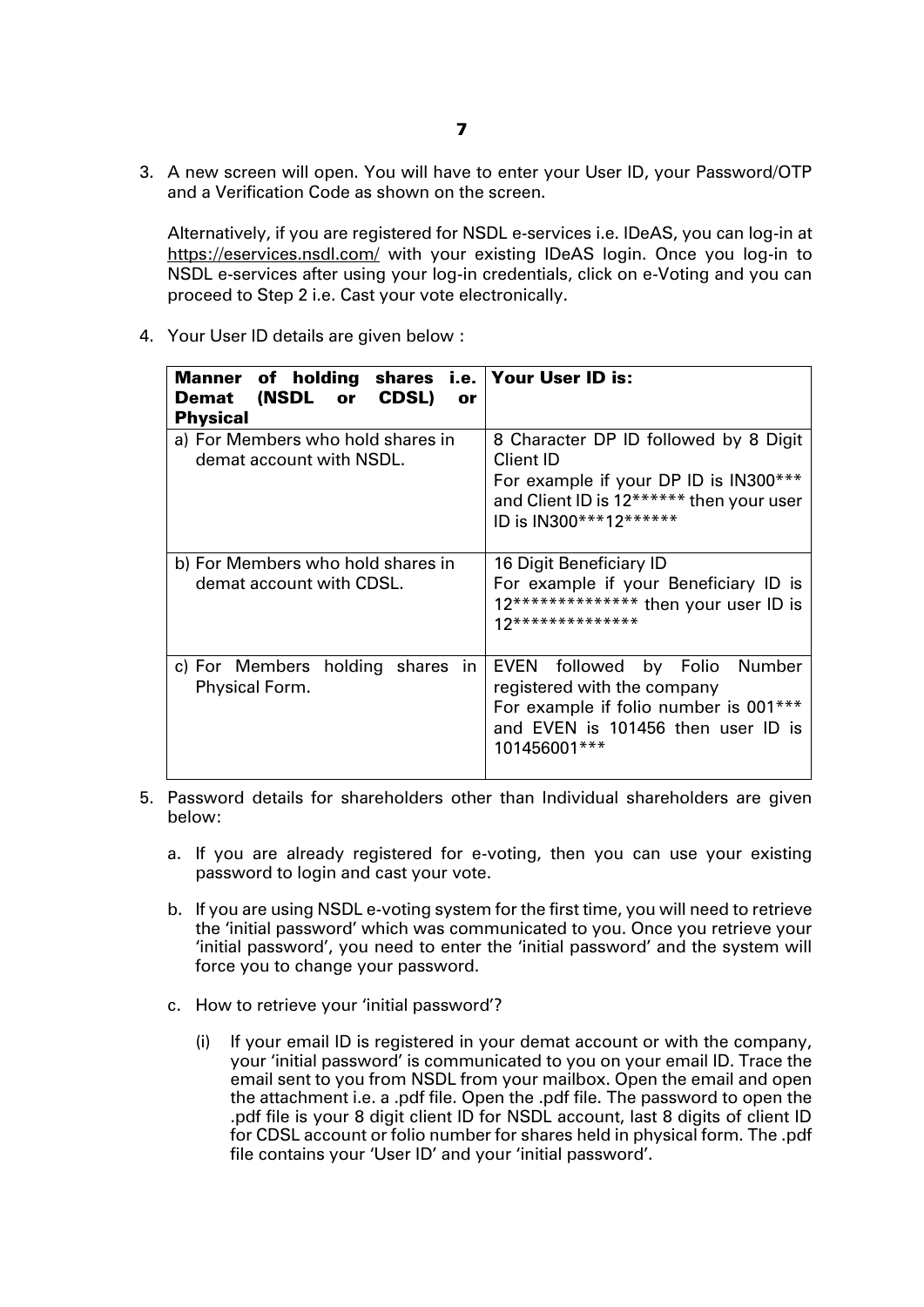3. A new screen will open. You will have to enter your User ID, your Password/OTP and a Verification Code as shown on the screen.

Alternatively, if you are registered for NSDL e-services i.e. IDeAS, you can log-in at <https://eservices.nsdl.com/> with your existing IDeAS login. Once you log-in to NSDL e-services after using your log-in credentials, click on e-Voting and you can proceed to Step 2 i.e. Cast your vote electronically.

4. Your User ID details are given below :

| Manner of holding shares i.e. Your User ID is:<br>(NSDL or CDSL)<br>Demat<br>or<br><b>Physical</b> |                                                                                                                                                                       |
|----------------------------------------------------------------------------------------------------|-----------------------------------------------------------------------------------------------------------------------------------------------------------------------|
| a) For Members who hold shares in<br>demat account with NSDL.                                      | 8 Character DP ID followed by 8 Digit<br>Client ID<br>For example if your DP ID is IN300***<br>and Client ID is 12****** then your user<br>ID is IN300***12******     |
| b) For Members who hold shares in<br>demat account with CDSL.                                      | 16 Digit Beneficiary ID<br>For example if your Beneficiary ID is<br>12************** then your user ID is<br>12**************                                         |
| c) For Members holding shares in<br>Physical Form.                                                 | followed by Folio Number<br><b>EVEN</b><br>registered with the company<br>For example if folio number is 001***<br>and EVEN is 101456 then user ID is<br>101456001*** |

- 5. Password details for shareholders other than Individual shareholders are given below:
	- a. If you are already registered for e-voting, then you can use your existing password to login and cast your vote.
	- b. If you are using NSDL e-voting system for the first time, you will need to retrieve the 'initial password' which was communicated to you. Once you retrieve your 'initial password', you need to enter the 'initial password' and the system will force you to change your password.
	- c. How to retrieve your 'initial password'?
		- (i) If your email ID is registered in your demat account or with the company, your 'initial password' is communicated to you on your email ID. Trace the email sent to you from NSDL from your mailbox. Open the email and open the attachment i.e. a .pdf file. Open the .pdf file. The password to open the .pdf file is your 8 digit client ID for NSDL account, last 8 digits of client ID for CDSL account or folio number for shares held in physical form. The .pdf file contains your 'User ID' and your 'initial password'.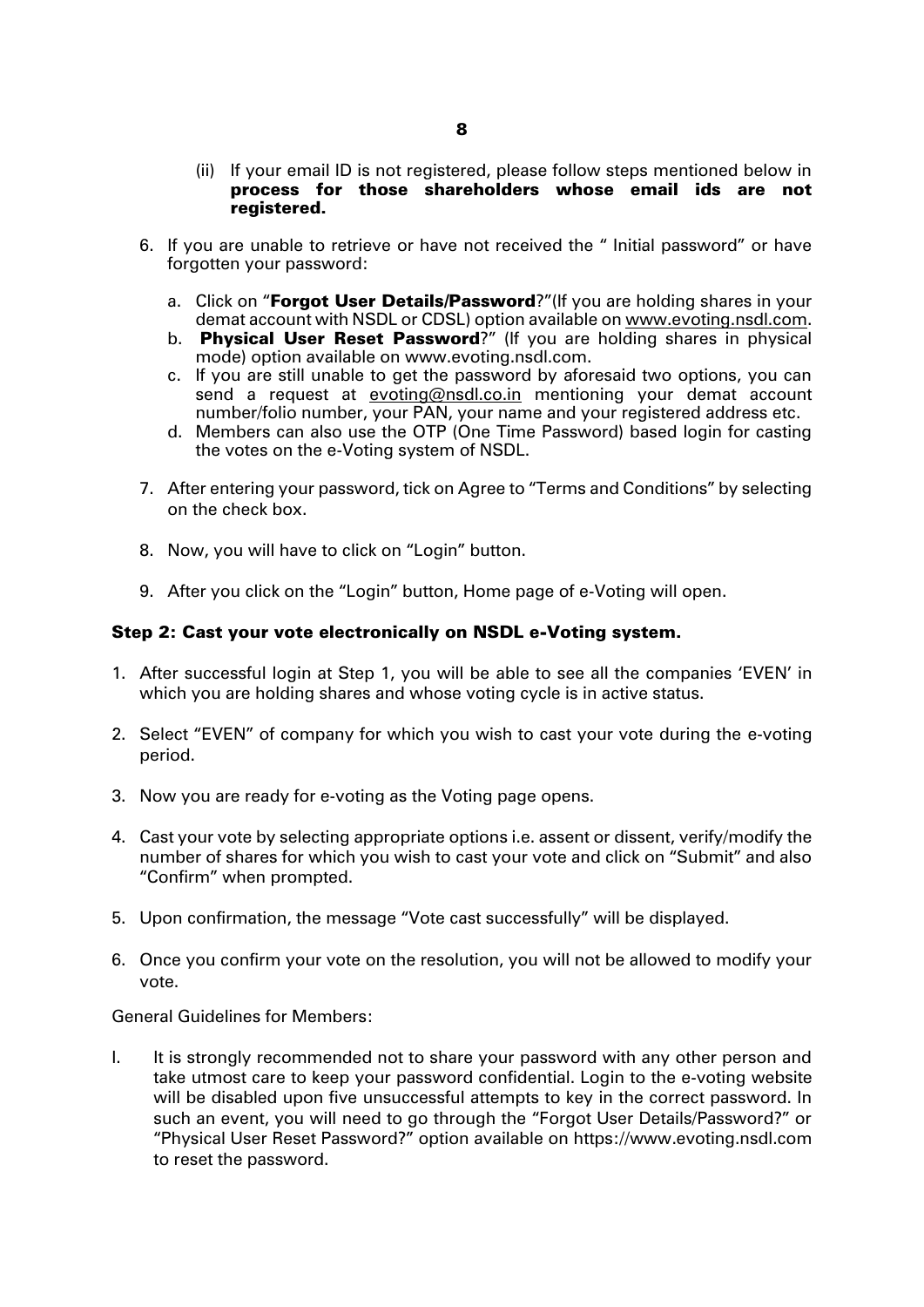- (ii) If your email ID is not registered, please follow steps mentioned below in process for those shareholders whose email ids are not registered.
- 6. If you are unable to retrieve or have not received the " Initial password" or have forgotten your password:
	- a. Click on "**[Forgot User Details/Password](https://www.evoting.nsdl.com/eVotingWeb/commonhtmls/NewUser.jsp)**?"(If you are holding shares in your demat account with NSDL or CDSL) option available on www.evoting.nsdl.com.
	- b. [Physical User Reset Password](https://www.evoting.nsdl.com/eVotingWeb/commonhtmls/PhysicalUser.jsp)?" (If you are holding shares in physical mode) option available on [www.evoting.nsdl.com.](http://www.evoting.nsdl.com/)
	- c. If you are still unable to get the password by aforesaid two options, you can send a request at [evoting@nsdl.co.in](mailto:evoting@nsdl.co.in) mentioning your demat account number/folio number, your PAN, your name and your registered address etc.
	- d. Members can also use the OTP (One Time Password) based login for casting the votes on the e-Voting system of NSDL.
- 7. After entering your password, tick on Agree to "Terms and Conditions" by selecting on the check box.
- 8. Now, you will have to click on "Login" button.
- 9. After you click on the "Login" button, Home page of e-Voting will open.

# Step 2: Cast your vote electronically on NSDL e-Voting system.

- 1. After successful login at Step 1, you will be able to see all the companies 'EVEN' in which you are holding shares and whose voting cycle is in active status.
- 2. Select "EVEN" of company for which you wish to cast your vote during the e-voting period.
- 3. Now you are ready for e-voting as the Voting page opens.
- 4. Cast your vote by selecting appropriate options i.e. assent or dissent, verify/modify the number of shares for which you wish to cast your vote and click on "Submit" and also "Confirm" when prompted.
- 5. Upon confirmation, the message "Vote cast successfully" will be displayed.
- 6. Once you confirm your vote on the resolution, you will not be allowed to modify your vote.

General Guidelines for Members:

I. It is strongly recommended not to share your password with any other person and take utmost care to keep your password confidential. Login to the e-voting website will be disabled upon five unsuccessful attempts to key in the correct password. In such an event, you will need to go through the "Forgot User Details/Password?" or "Physical User Reset Password?" option available on https://www.evoting.nsdl.com to reset the password.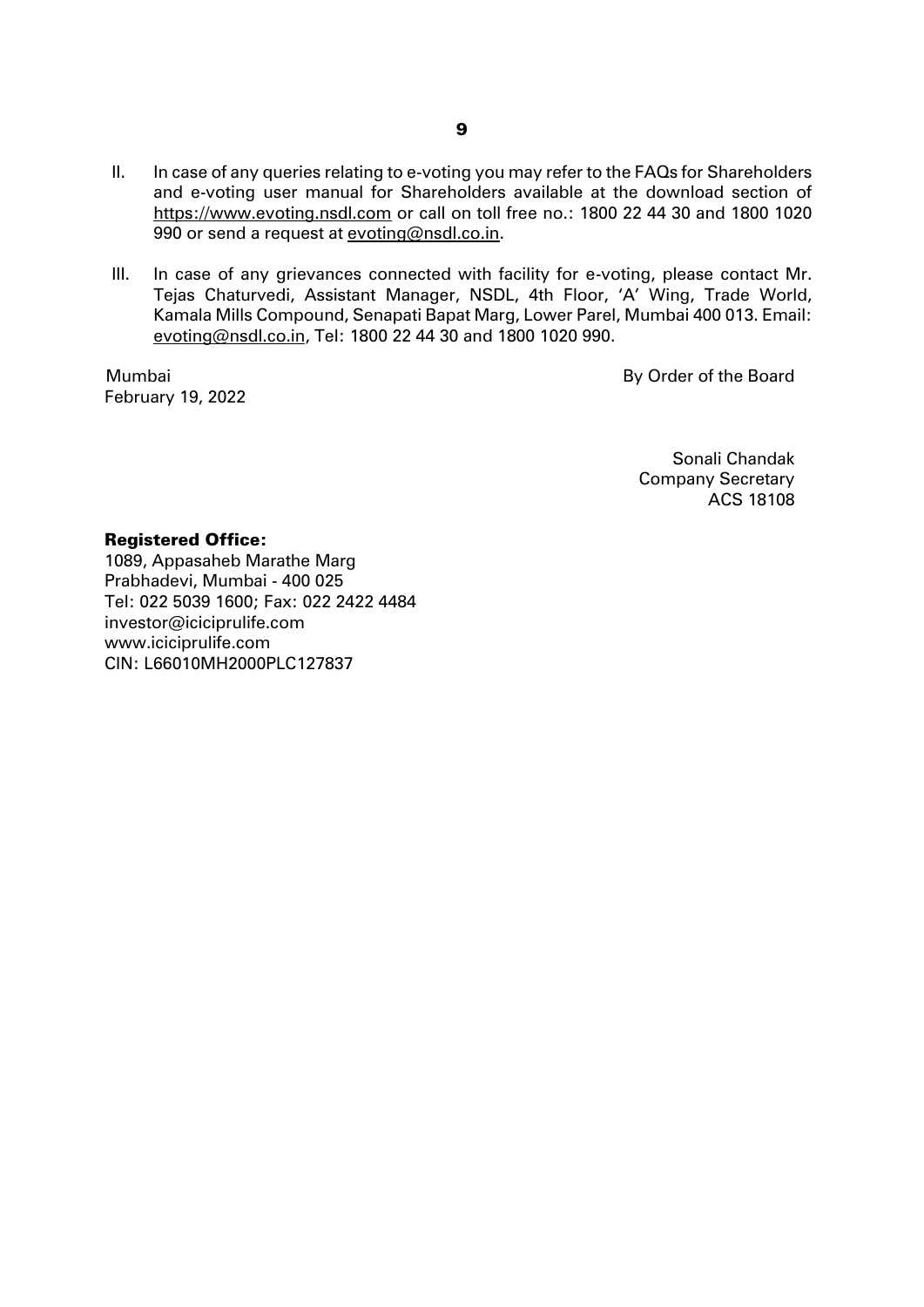- II. In case of any queries relating to e-voting you may refer to the FAQs for Shareholders and e-voting user manual for Shareholders available at the download section of https://www.evoting.nsdl.com or call on toll free no.: 1800 22 44 30 and 1800 1020 990 or send a request at evoting@nsdl.co.in.
- III. In case of any grievances connected with facility for e-voting, please contact Mr. Tejas Chaturvedi, Assistant Manager, NSDL, 4th Floor, 'A' Wing, Trade World, Kamala Mills Compound, Senapati Bapat Marg, Lower Parel, Mumbai 400 013. Email: evoting@nsdl.co.in, Tel: 1800 22 44 30 and 1800 1020 990.

Mumbai February 19, 2022 By Order of the Board

 Sonali Chandak Company Secretary ACS 18108

#### Registered Office:

1089, Appasaheb Marathe Marg Prabhadevi, Mumbai - 400 025 Tel: 022 5039 1600; Fax: 022 2422 4484 investor@iciciprulife.com [www.iciciprulife.com](http://www.iciciprulife.com/) CIN: L66010MH2000PLC127837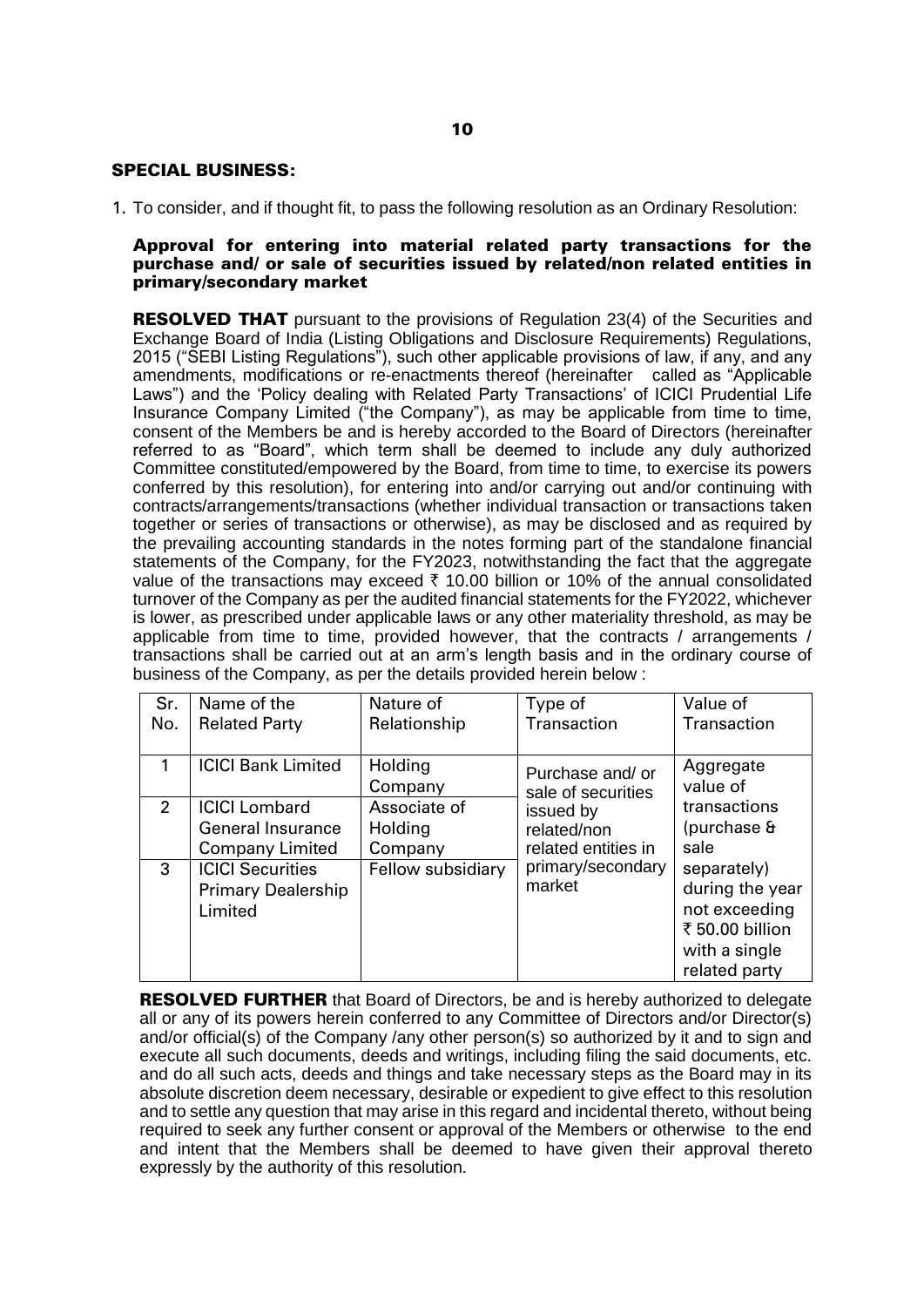## SPECIAL BUSINESS:

1. To consider, and if thought fit, to pass the following resolution as an Ordinary Resolution:

#### Approval for entering into material related party transactions for the purchase and/ or sale of securities issued by related/non related entities in primary/secondary market

**RESOLVED THAT** pursuant to the provisions of Regulation 23(4) of the Securities and Exchange Board of India (Listing Obligations and Disclosure Requirements) Regulations, 2015 ("SEBI Listing Regulations"), such other applicable provisions of law, if any, and any amendments, modifications or re-enactments thereof (hereinafter called as "Applicable Laws") and the 'Policy dealing with Related Party Transactions' of ICICI Prudential Life Insurance Company Limited ("the Company"), as may be applicable from time to time, consent of the Members be and is hereby accorded to the Board of Directors (hereinafter referred to as "Board", which term shall be deemed to include any duly authorized Committee constituted/empowered by the Board, from time to time, to exercise its powers conferred by this resolution), for entering into and/or carrying out and/or continuing with contracts/arrangements/transactions (whether individual transaction or transactions taken together or series of transactions or otherwise), as may be disclosed and as required by the prevailing accounting standards in the notes forming part of the standalone financial statements of the Company, for the FY2023, notwithstanding the fact that the aggregate value of the transactions may exceed  $\bar{\tau}$  10.00 billion or 10% of the annual consolidated turnover of the Company as per the audited financial statements for the FY2022, whichever is lower, as prescribed under applicable laws or any other materiality threshold, as may be applicable from time to time, provided however, that the contracts / arrangements / transactions shall be carried out at an arm's length basis and in the ordinary course of business of the Company, as per the details provided herein below :

| Sr.            | Name of the                                                     | Nature of          | Type of                               | Value of                                                                                             |
|----------------|-----------------------------------------------------------------|--------------------|---------------------------------------|------------------------------------------------------------------------------------------------------|
| No.            | <b>Related Party</b>                                            | Relationship       | Transaction                           | Transaction                                                                                          |
|                | <b>ICICI Bank Limited</b>                                       | Holding<br>Company | Purchase and/or<br>sale of securities | Aggregate<br>value of                                                                                |
| $\overline{2}$ | <b>ICICI Lombard</b>                                            | Associate of       | issued by                             | transactions                                                                                         |
|                | <b>General Insurance</b>                                        | Holding            | related/non                           | (purchase &                                                                                          |
|                | <b>Company Limited</b>                                          | Company            | related entities in                   | sale                                                                                                 |
| 3              | <b>ICICI Securities</b><br><b>Primary Dealership</b><br>Limited | Fellow subsidiary  | primary/secondary<br>market           | separately)<br>during the year<br>not exceeding<br>₹ 50.00 billion<br>with a single<br>related party |

**RESOLVED FURTHER** that Board of Directors, be and is hereby authorized to delegate all or any of its powers herein conferred to any Committee of Directors and/or Director(s) and/or official(s) of the Company /any other person(s) so authorized by it and to sign and execute all such documents, deeds and writings, including filing the said documents, etc. and do all such acts, deeds and things and take necessary steps as the Board may in its absolute discretion deem necessary, desirable or expedient to give effect to this resolution and to settle any question that may arise in this regard and incidental thereto, without being required to seek any further consent or approval of the Members or otherwise to the end and intent that the Members shall be deemed to have given their approval thereto expressly by the authority of this resolution.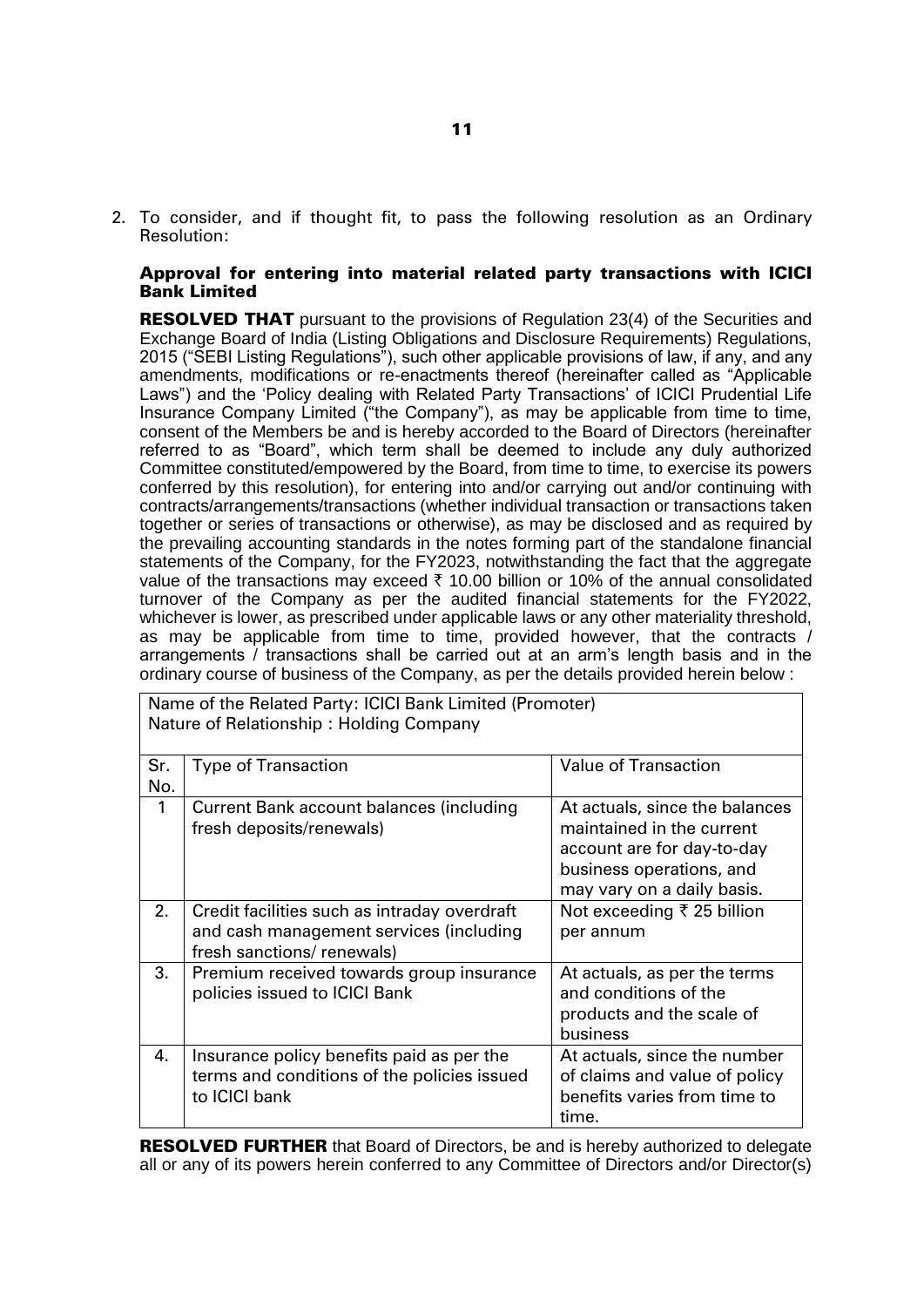2. To consider, and if thought fit, to pass the following resolution as an Ordinary Resolution:

#### Approval for entering into material related party transactions with ICICI Bank Limited

**RESOLVED THAT** pursuant to the provisions of Regulation 23(4) of the Securities and Exchange Board of India (Listing Obligations and Disclosure Requirements) Regulations, 2015 ("SEBI Listing Regulations"), such other applicable provisions of law, if any, and any amendments, modifications or re-enactments thereof (hereinafter called as "Applicable Laws") and the 'Policy dealing with Related Party Transactions' of ICICI Prudential Life Insurance Company Limited ("the Company"), as may be applicable from time to time, consent of the Members be and is hereby accorded to the Board of Directors (hereinafter referred to as "Board", which term shall be deemed to include any duly authorized Committee constituted/empowered by the Board, from time to time, to exercise its powers conferred by this resolution), for entering into and/or carrying out and/or continuing with contracts/arrangements/transactions (whether individual transaction or transactions taken together or series of transactions or otherwise), as may be disclosed and as required by the prevailing accounting standards in the notes forming part of the standalone financial statements of the Company, for the FY2023, notwithstanding the fact that the aggregate value of the transactions may exceed  $\bar{\tau}$  10.00 billion or 10% of the annual consolidated turnover of the Company as per the audited financial statements for the FY2022, whichever is lower, as prescribed under applicable laws or any other materiality threshold, as may be applicable from time to time, provided however, that the contracts / arrangements / transactions shall be carried out at an arm's length basis and in the ordinary course of business of the Company, as per the details provided herein below :

|              | Name of the Related Party: ICICI Bank Limited (Promoter)<br>Nature of Relationship: Holding Company       |                                                                                                                                                     |  |  |  |  |
|--------------|-----------------------------------------------------------------------------------------------------------|-----------------------------------------------------------------------------------------------------------------------------------------------------|--|--|--|--|
| Sr.<br>No.   | <b>Type of Transaction</b>                                                                                | <b>Value of Transaction</b>                                                                                                                         |  |  |  |  |
| $\mathbf{1}$ | Current Bank account balances (including<br>fresh deposits/renewals)                                      | At actuals, since the balances<br>maintained in the current<br>account are for day-to-day<br>business operations, and<br>may vary on a daily basis. |  |  |  |  |
| 2.           | Credit facilities such as intraday overdraft                                                              | Not exceeding ₹ 25 billion                                                                                                                          |  |  |  |  |
|              | and cash management services (including<br>fresh sanctions/ renewals)                                     | per annum                                                                                                                                           |  |  |  |  |
| 3.           | Premium received towards group insurance<br>policies issued to ICICI Bank                                 | At actuals, as per the terms<br>and conditions of the<br>products and the scale of<br>business                                                      |  |  |  |  |
| 4.           | Insurance policy benefits paid as per the<br>terms and conditions of the policies issued<br>to ICICI bank | At actuals, since the number<br>of claims and value of policy<br>benefits varies from time to<br>time.                                              |  |  |  |  |

**RESOLVED FURTHER** that Board of Directors, be and is hereby authorized to delegate all or any of its powers herein conferred to any Committee of Directors and/or Director(s)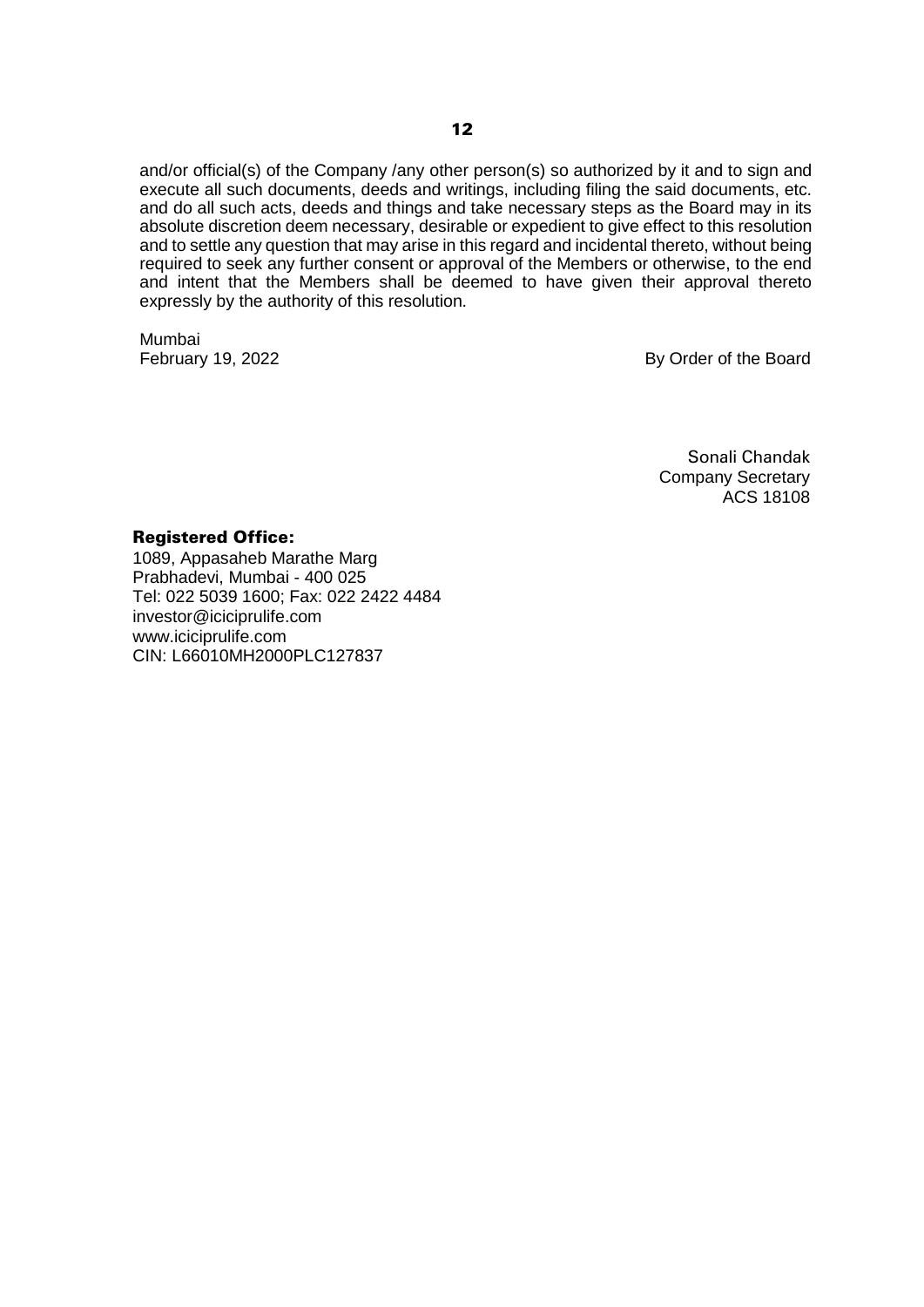and/or official(s) of the Company /any other person(s) so authorized by it and to sign and execute all such documents, deeds and writings, including filing the said documents, etc. and do all such acts, deeds and things and take necessary steps as the Board may in its absolute discretion deem necessary, desirable or expedient to give effect to this resolution and to settle any question that may arise in this regard and incidental thereto, without being required to seek any further consent or approval of the Members or otherwise, to the end and intent that the Members shall be deemed to have given their approval thereto expressly by the authority of this resolution.

Mumbai

February 19, 2022 **By Order of the Board** 

Sonali Chandak Company Secretary ACS 18108

#### Registered Office:

1089, Appasaheb Marathe Marg Prabhadevi, Mumbai - 400 025 Tel: 022 5039 1600; Fax: 022 2422 4484 investor@iciciprulife.com www.iciciprulife.com CIN: L66010MH2000PLC127837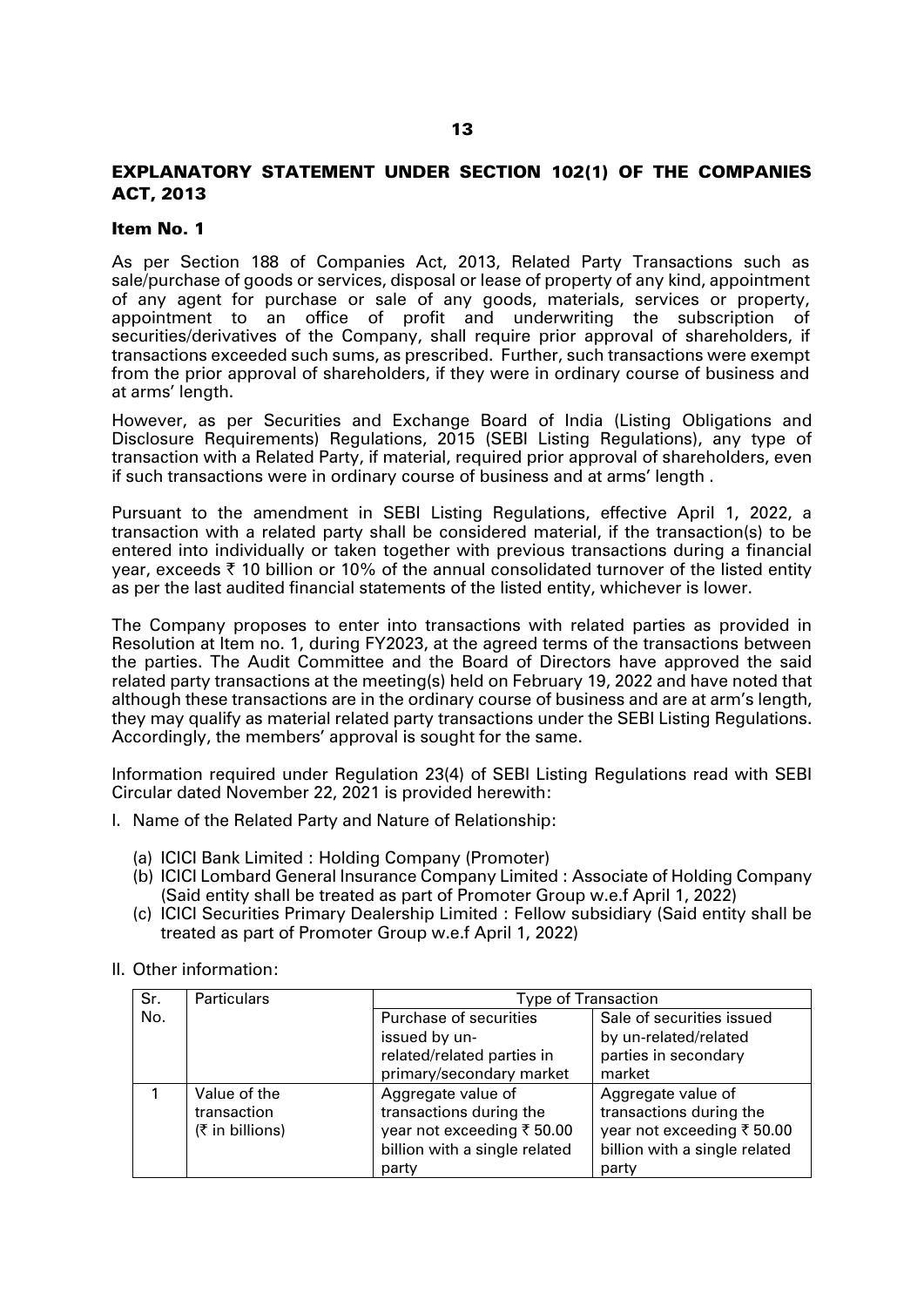# EXPLANATORY STATEMENT UNDER SECTION 102(1) OF THE COMPANIES ACT, 2013

#### Item No. 1

As per Section 188 of Companies Act, 2013, Related Party Transactions such as sale/purchase of goods or services, disposal or lease of property of any kind, appointment of any agent for purchase or sale of any goods, materials, services or property, appointment to an office of profit and underwriting the subscription of securities/derivatives of the Company, shall require prior approval of shareholders, if transactions exceeded such sums, as prescribed. Further, such transactions were exempt from the prior approval of shareholders, if they were in ordinary course of business and at arms' length.

However, as per Securities and Exchange Board of India (Listing Obligations and Disclosure Requirements) Regulations, 2015 (SEBI Listing Regulations), any type of transaction with a Related Party, if material, required prior approval of shareholders, even if such transactions were in ordinary course of business and at arms' length .

Pursuant to the amendment in SEBI Listing Regulations, effective April 1, 2022, a transaction with a related party shall be considered material, if the transaction(s) to be entered into individually or taken together with previous transactions during a financial year, exceeds  $\bar{\tau}$  10 billion or 10% of the annual consolidated turnover of the listed entity as per the last audited financial statements of the listed entity, whichever is lower.

The Company proposes to enter into transactions with related parties as provided in Resolution at Item no. 1, during FY2023, at the agreed terms of the transactions between the parties. The Audit Committee and the Board of Directors have approved the said related party transactions at the meeting(s) held on February 19, 2022 and have noted that although these transactions are in the ordinary course of business and are at arm's length, they may qualify as material related party transactions under the SEBI Listing Regulations. Accordingly, the members' approval is sought for the same.

Information required under Regulation 23(4) of SEBI Listing Regulations read with SEBI Circular dated November 22, 2021 is provided herewith:

- I. Name of the Related Party and Nature of Relationship:
	- (a) ICICI Bank Limited : Holding Company (Promoter)
	- (b) ICICI Lombard General Insurance Company Limited : Associate of Holding Company (Said entity shall be treated as part of Promoter Group w.e.f April 1, 2022)
	- (c) ICICI Securities Primary Dealership Limited : Fellow subsidiary (Said entity shall be treated as part of Promoter Group w.e.f April 1, 2022)

| Sr. | <b>Particulars</b> | <b>Type of Transaction</b>                         |                               |  |  |  |
|-----|--------------------|----------------------------------------------------|-------------------------------|--|--|--|
| No. |                    | Purchase of securities                             | Sale of securities issued     |  |  |  |
|     |                    | issued by un-                                      | by un-related/related         |  |  |  |
|     |                    | parties in secondary<br>related/related parties in |                               |  |  |  |
|     |                    | primary/secondary market<br>market                 |                               |  |  |  |
|     | Value of the       | Aggregate value of                                 | Aggregate value of            |  |  |  |
|     | transaction        | transactions during the<br>transactions during the |                               |  |  |  |
|     | $(₹$ in billions)  | year not exceeding ₹50.00                          | year not exceeding ₹ 50.00    |  |  |  |
|     |                    | billion with a single related                      | billion with a single related |  |  |  |
|     |                    | party                                              | party                         |  |  |  |

II. Other information: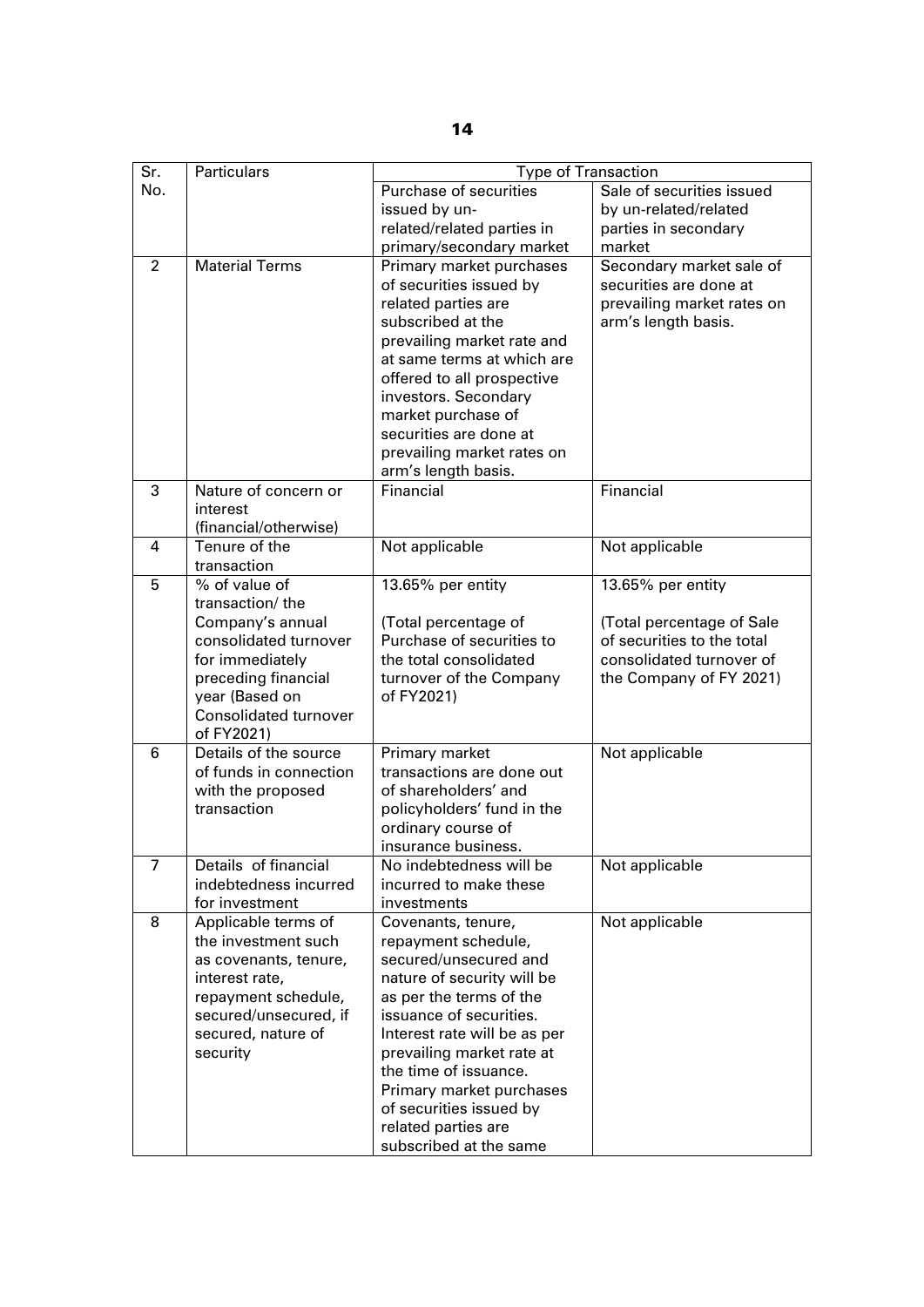| Sr.            | <b>Particulars</b>           | <b>Type of Transaction</b>   |                            |  |  |  |
|----------------|------------------------------|------------------------------|----------------------------|--|--|--|
| No.            |                              | Purchase of securities       | Sale of securities issued  |  |  |  |
|                |                              | issued by un-                | by un-related/related      |  |  |  |
|                |                              | related/related parties in   | parties in secondary       |  |  |  |
|                |                              | primary/secondary market     | market                     |  |  |  |
| $\overline{2}$ | <b>Material Terms</b>        | Primary market purchases     | Secondary market sale of   |  |  |  |
|                |                              | of securities issued by      | securities are done at     |  |  |  |
|                |                              | related parties are          | prevailing market rates on |  |  |  |
|                |                              | subscribed at the            | arm's length basis.        |  |  |  |
|                |                              | prevailing market rate and   |                            |  |  |  |
|                |                              | at same terms at which are   |                            |  |  |  |
|                |                              | offered to all prospective   |                            |  |  |  |
|                |                              | investors. Secondary         |                            |  |  |  |
|                |                              | market purchase of           |                            |  |  |  |
|                |                              | securities are done at       |                            |  |  |  |
|                |                              | prevailing market rates on   |                            |  |  |  |
|                |                              | arm's length basis.          |                            |  |  |  |
| 3              | Nature of concern or         | Financial                    | Financial                  |  |  |  |
|                | interest                     |                              |                            |  |  |  |
|                | (financial/otherwise)        |                              |                            |  |  |  |
| 4              | Tenure of the                | Not applicable               | Not applicable             |  |  |  |
|                | transaction                  |                              |                            |  |  |  |
| 5              | % of value of                | 13.65% per entity            | 13.65% per entity          |  |  |  |
|                | transaction/the              |                              |                            |  |  |  |
|                | Company's annual             | (Total percentage of         | (Total percentage of Sale  |  |  |  |
|                | consolidated turnover        | Purchase of securities to    | of securities to the total |  |  |  |
|                | for immediately              | the total consolidated       | consolidated turnover of   |  |  |  |
|                | preceding financial          | turnover of the Company      | the Company of FY 2021)    |  |  |  |
|                | year (Based on               | of FY2021)                   |                            |  |  |  |
|                | <b>Consolidated turnover</b> |                              |                            |  |  |  |
|                | of FY2021)                   |                              |                            |  |  |  |
| 6              | Details of the source        | Primary market               | Not applicable             |  |  |  |
|                | of funds in connection       | transactions are done out    |                            |  |  |  |
|                | with the proposed            | of shareholders' and         |                            |  |  |  |
|                | transaction                  | policyholders' fund in the   |                            |  |  |  |
|                |                              | ordinary course of           |                            |  |  |  |
|                |                              | insurance business.          |                            |  |  |  |
| 7              | Details of financial         | No indebtedness will be      | Not applicable             |  |  |  |
|                | indebtedness incurred        | incurred to make these       |                            |  |  |  |
|                | for investment               | investments                  |                            |  |  |  |
| 8              | Applicable terms of          | Covenants, tenure,           | Not applicable             |  |  |  |
|                | the investment such          | repayment schedule,          |                            |  |  |  |
|                | as covenants, tenure,        | secured/unsecured and        |                            |  |  |  |
|                | interest rate,               | nature of security will be   |                            |  |  |  |
|                | repayment schedule,          | as per the terms of the      |                            |  |  |  |
|                | secured/unsecured, if        | issuance of securities.      |                            |  |  |  |
|                | secured, nature of           | Interest rate will be as per |                            |  |  |  |
|                | security                     | prevailing market rate at    |                            |  |  |  |
|                |                              | the time of issuance.        |                            |  |  |  |
|                |                              | Primary market purchases     |                            |  |  |  |
|                |                              | of securities issued by      |                            |  |  |  |
|                |                              | related parties are          |                            |  |  |  |
|                |                              | subscribed at the same       |                            |  |  |  |

14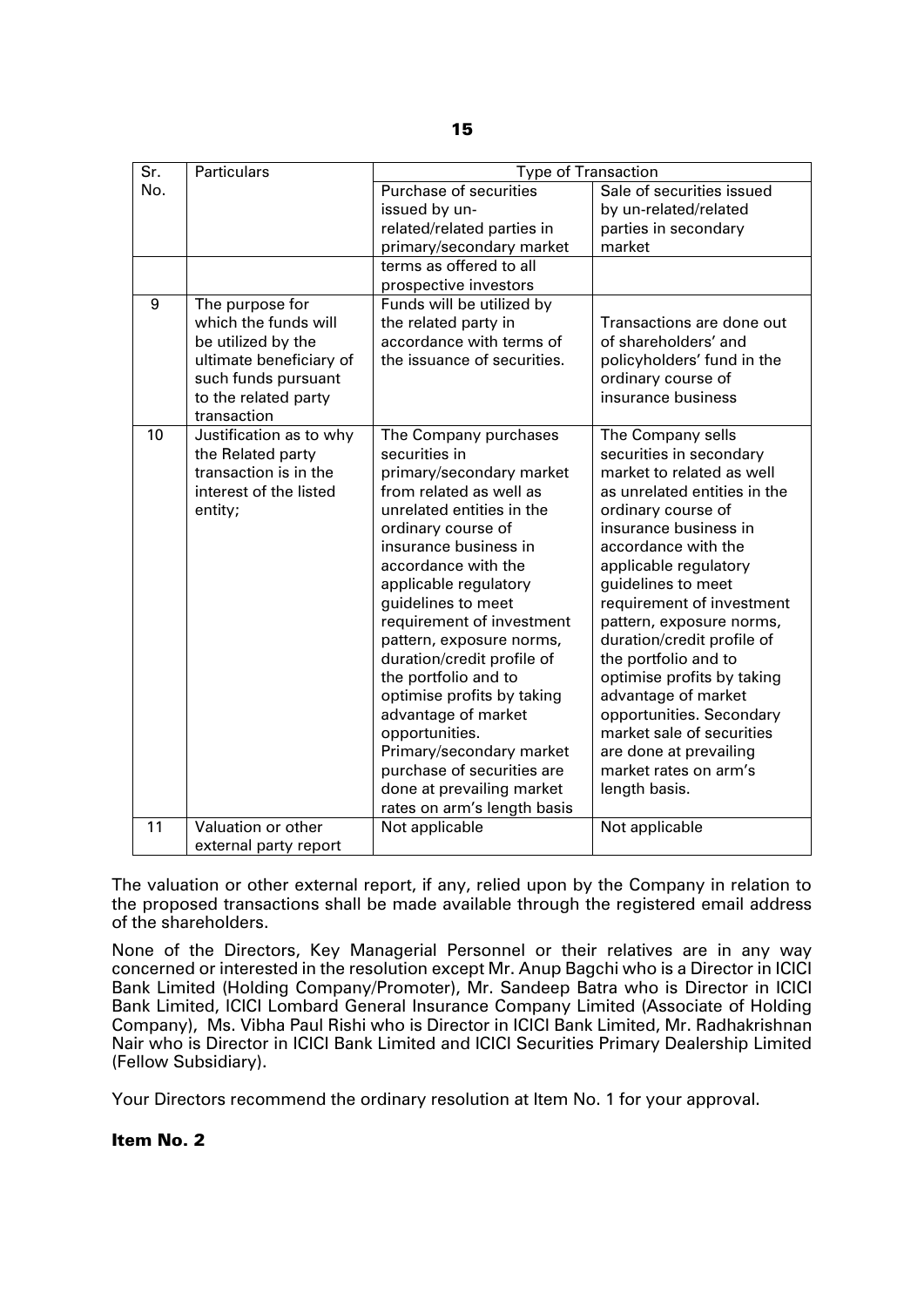| $\overline{\text{Sr.}}$ | <b>Particulars</b>      | Type of Transaction                                    |                                                       |  |  |  |
|-------------------------|-------------------------|--------------------------------------------------------|-------------------------------------------------------|--|--|--|
| No.                     |                         | Purchase of securities                                 | Sale of securities issued                             |  |  |  |
|                         |                         | issued by un-                                          | by un-related/related                                 |  |  |  |
|                         |                         | related/related parties in                             | parties in secondary                                  |  |  |  |
|                         |                         | primary/secondary market                               | market                                                |  |  |  |
|                         |                         | terms as offered to all                                |                                                       |  |  |  |
|                         |                         | prospective investors                                  |                                                       |  |  |  |
| 9                       | The purpose for         | Funds will be utilized by                              |                                                       |  |  |  |
|                         | which the funds will    | the related party in                                   | Transactions are done out                             |  |  |  |
|                         | be utilized by the      | accordance with terms of                               | of shareholders' and                                  |  |  |  |
|                         | ultimate beneficiary of | the issuance of securities.                            | policyholders' fund in the                            |  |  |  |
|                         | such funds pursuant     |                                                        | ordinary course of                                    |  |  |  |
|                         | to the related party    |                                                        | insurance business                                    |  |  |  |
|                         | transaction             |                                                        |                                                       |  |  |  |
| 10                      | Justification as to why | The Company purchases                                  | The Company sells                                     |  |  |  |
|                         | the Related party       | securities in                                          | securities in secondary                               |  |  |  |
|                         | transaction is in the   | primary/secondary market                               | market to related as well                             |  |  |  |
|                         | interest of the listed  | from related as well as                                | as unrelated entities in the                          |  |  |  |
|                         | entity;                 | unrelated entities in the                              | ordinary course of                                    |  |  |  |
|                         |                         | ordinary course of                                     | insurance business in                                 |  |  |  |
|                         |                         | insurance business in                                  | accordance with the                                   |  |  |  |
|                         |                         | accordance with the                                    | applicable regulatory                                 |  |  |  |
|                         |                         | applicable regulatory                                  | guidelines to meet                                    |  |  |  |
|                         |                         | guidelines to meet                                     | requirement of investment                             |  |  |  |
|                         |                         | requirement of investment                              | pattern, exposure norms,                              |  |  |  |
|                         |                         | pattern, exposure norms,                               | duration/credit profile of                            |  |  |  |
|                         |                         | duration/credit profile of                             | the portfolio and to                                  |  |  |  |
|                         |                         | the portfolio and to                                   | optimise profits by taking                            |  |  |  |
|                         |                         | optimise profits by taking                             | advantage of market                                   |  |  |  |
|                         |                         | advantage of market                                    | opportunities. Secondary<br>market sale of securities |  |  |  |
|                         |                         | opportunities.                                         |                                                       |  |  |  |
|                         |                         | Primary/secondary market<br>purchase of securities are | are done at prevailing<br>market rates on arm's       |  |  |  |
|                         |                         | done at prevailing market                              | length basis.                                         |  |  |  |
|                         |                         | rates on arm's length basis                            |                                                       |  |  |  |
| 11                      | Valuation or other      | Not applicable                                         |                                                       |  |  |  |
|                         |                         |                                                        | Not applicable                                        |  |  |  |
|                         | external party report   |                                                        |                                                       |  |  |  |

The valuation or other external report, if any, relied upon by the Company in relation to the proposed transactions shall be made available through the registered email address of the shareholders.

None of the Directors, Key Managerial Personnel or their relatives are in any way concerned or interested in the resolution except Mr. Anup Bagchi who is a Director in ICICI Bank Limited (Holding Company/Promoter), Mr. Sandeep Batra who is Director in ICICI Bank Limited, ICICI Lombard General Insurance Company Limited (Associate of Holding Company), Ms. Vibha Paul Rishi who is Director in ICICI Bank Limited, Mr. Radhakrishnan Nair who is Director in ICICI Bank Limited and ICICI Securities Primary Dealership Limited (Fellow Subsidiary).

Your Directors recommend the ordinary resolution at Item No. 1 for your approval.

Item No. 2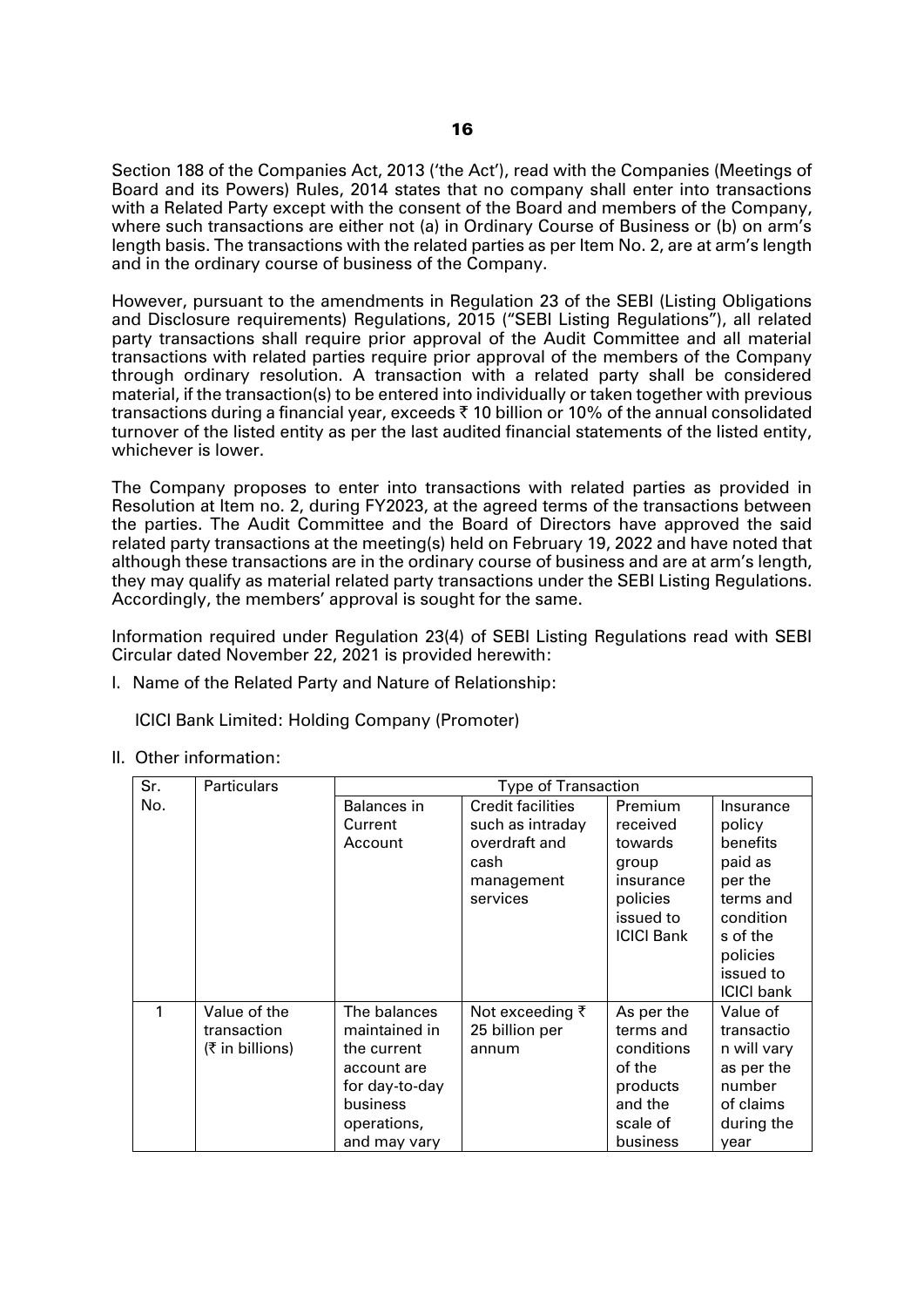Section 188 of the Companies Act, 2013 ('the Act'), read with the Companies (Meetings of Board and its Powers) Rules, 2014 states that no company shall enter into transactions with a Related Party except with the consent of the Board and members of the Company, where such transactions are either not (a) in Ordinary Course of Business or (b) on arm's length basis. The transactions with the related parties as per Item No. 2, are at arm's length and in the ordinary course of business of the Company.

However, pursuant to the amendments in Regulation 23 of the SEBI (Listing Obligations and Disclosure requirements) Regulations, 2015 ("SEBI Listing Regulations"), all related party transactions shall require prior approval of the Audit Committee and all material transactions with related parties require prior approval of the members of the Company through ordinary resolution. A transaction with a related party shall be considered material, if the transaction(s) to be entered into individually or taken together with previous transactions during a financial year, exceeds  $\bar{\tau}$  10 billion or 10% of the annual consolidated turnover of the listed entity as per the last audited financial statements of the listed entity, whichever is lower.

The Company proposes to enter into transactions with related parties as provided in Resolution at Item no. 2, during FY2023, at the agreed terms of the transactions between the parties. The Audit Committee and the Board of Directors have approved the said related party transactions at the meeting(s) held on February 19, 2022 and have noted that although these transactions are in the ordinary course of business and are at arm's length, they may qualify as material related party transactions under the SEBI Listing Regulations. Accordingly, the members' approval is sought for the same.

Information required under Regulation 23(4) of SEBI Listing Regulations read with SEBI Circular dated November 22, 2021 is provided herewith:

I. Name of the Related Party and Nature of Relationship:

ICICI Bank Limited: Holding Company (Promoter)

II. Other information:

| Sr. | <b>Particulars</b> |                | <b>Type of Transaction</b> |                   |                   |
|-----|--------------------|----------------|----------------------------|-------------------|-------------------|
| No. |                    | Balances in    | <b>Credit facilities</b>   | Premium           | Insurance         |
|     |                    | Current        | such as intraday           | received          | policy            |
|     |                    | Account        | overdraft and              | towards           | benefits          |
|     |                    |                | cash                       | group             | paid as           |
|     |                    |                | management                 | insurance         | per the           |
|     |                    |                | services                   | policies          | terms and         |
|     |                    |                |                            | issued to         | condition         |
|     |                    |                |                            | <b>ICICI Bank</b> | s of the          |
|     |                    |                |                            |                   | policies          |
|     |                    |                |                            |                   | issued to         |
|     |                    |                |                            |                   | <b>ICICI bank</b> |
| 1   | Value of the       | The balances   | Not exceeding ₹            | As per the        | Value of          |
|     | transaction        | maintained in  | 25 billion per             | terms and         | transactio        |
|     | (₹ in billion)     | the current    | annum                      | conditions        | n will vary       |
|     |                    | account are    |                            | of the            | as per the        |
|     |                    | for day-to-day |                            | products          | number            |
|     |                    | business       |                            | and the           | of claims         |
|     |                    | operations,    |                            | scale of          | during the        |
|     |                    | and may vary   |                            | business          | year              |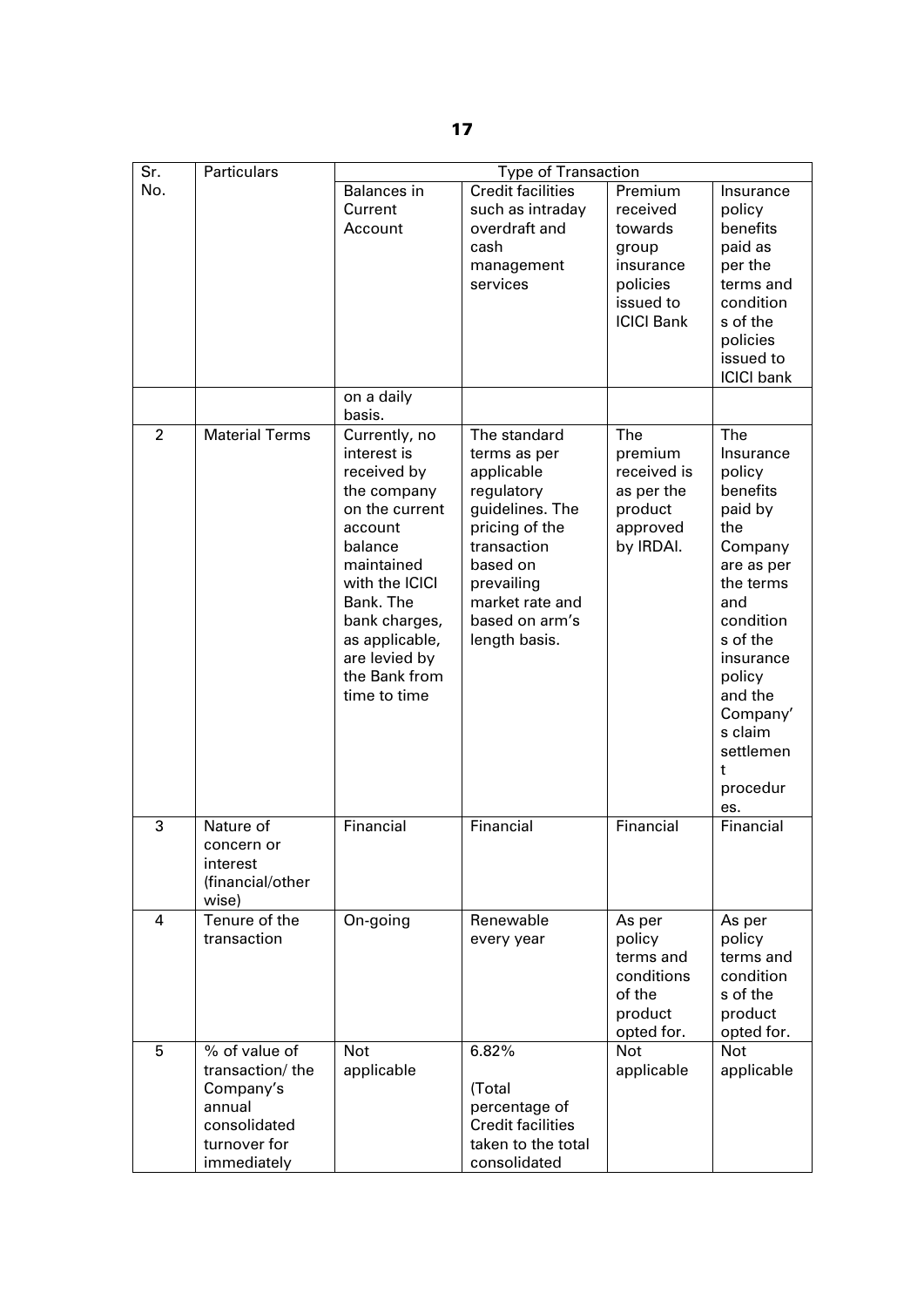| Sr.            | <b>Particulars</b>                                                                                     | <b>Type of Transaction</b>                                                                                                                                                                                                           |                                                                                                                                                                                              |                                                                                                    |                                                                                                                                                                                                                                     |
|----------------|--------------------------------------------------------------------------------------------------------|--------------------------------------------------------------------------------------------------------------------------------------------------------------------------------------------------------------------------------------|----------------------------------------------------------------------------------------------------------------------------------------------------------------------------------------------|----------------------------------------------------------------------------------------------------|-------------------------------------------------------------------------------------------------------------------------------------------------------------------------------------------------------------------------------------|
| No.            |                                                                                                        | Balances in<br>Current<br>Account                                                                                                                                                                                                    | <b>Credit facilities</b><br>such as intraday<br>overdraft and<br>cash<br>management<br>services                                                                                              | Premium<br>received<br>towards<br>group<br>insurance<br>policies<br>issued to<br><b>ICICI Bank</b> | Insurance<br>policy<br>benefits<br>paid as<br>per the<br>terms and<br>condition<br>s of the<br>policies<br>issued to<br><b>ICICI</b> bank                                                                                           |
|                |                                                                                                        | on a daily<br>basis.                                                                                                                                                                                                                 |                                                                                                                                                                                              |                                                                                                    |                                                                                                                                                                                                                                     |
| $\overline{2}$ | <b>Material Terms</b>                                                                                  | Currently, no<br>interest is<br>received by<br>the company<br>on the current<br>account<br>balance<br>maintained<br>with the ICICI<br>Bank. The<br>bank charges,<br>as applicable,<br>are levied by<br>the Bank from<br>time to time | The standard<br>terms as per<br>applicable<br>regulatory<br>guidelines. The<br>pricing of the<br>transaction<br>based on<br>prevailing<br>market rate and<br>based on arm's<br>length basis. | The<br>premium<br>received is<br>as per the<br>product<br>approved<br>by IRDAI.                    | <b>The</b><br>Insurance<br>policy<br>benefits<br>paid by<br>the<br>Company<br>are as per<br>the terms<br>and<br>condition<br>s of the<br>insurance<br>policy<br>and the<br>Company'<br>s claim<br>settlemen<br>t<br>procedur<br>es. |
| 3              | Nature of<br>concern or<br>interest<br>(financial/other<br>wise)                                       | Financial                                                                                                                                                                                                                            | Financial                                                                                                                                                                                    | Financial                                                                                          | Financial                                                                                                                                                                                                                           |
| $\overline{4}$ | Tenure of the<br>transaction                                                                           | On-going                                                                                                                                                                                                                             | Renewable<br>every year                                                                                                                                                                      | As per<br>policy<br>terms and<br>conditions<br>of the<br>product<br>opted for.                     | As per<br>policy<br>terms and<br>condition<br>s of the<br>product<br>opted for.                                                                                                                                                     |
| 5              | % of value of<br>transaction/the<br>Company's<br>annual<br>consolidated<br>turnover for<br>immediately | <b>Not</b><br>applicable                                                                                                                                                                                                             | 6.82%<br>(Total<br>percentage of<br><b>Credit facilities</b><br>taken to the total<br>consolidated                                                                                           | Not<br>applicable                                                                                  | Not<br>applicable                                                                                                                                                                                                                   |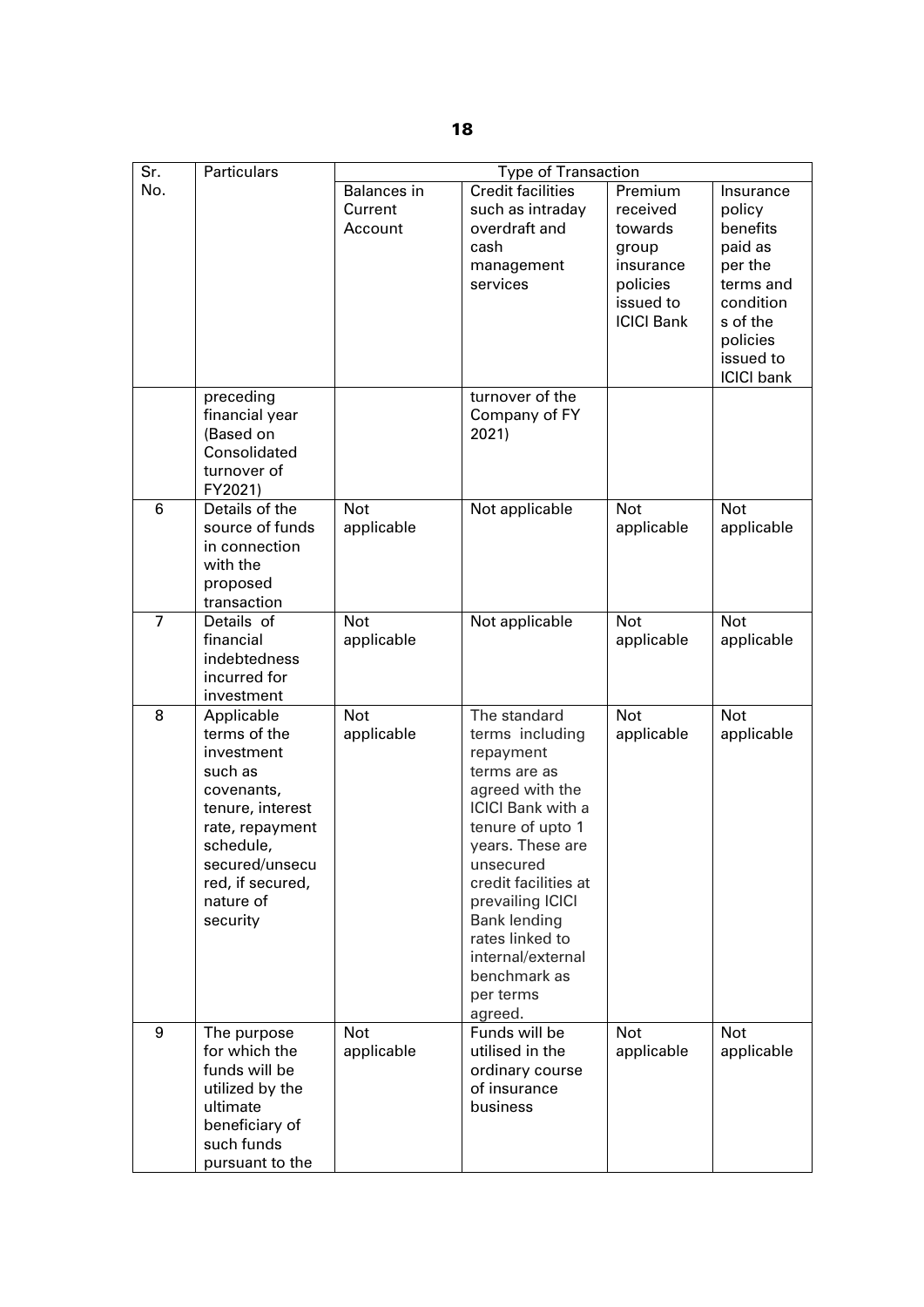| $\overline{\mathsf{S}}$ r. | <b>Particulars</b>                                                                                                                                                                   | <b>Type of Transaction</b>               |                                                                                                                                                                                                                                                                                                                     |                                                                                                    |                                                                                                                                           |
|----------------------------|--------------------------------------------------------------------------------------------------------------------------------------------------------------------------------------|------------------------------------------|---------------------------------------------------------------------------------------------------------------------------------------------------------------------------------------------------------------------------------------------------------------------------------------------------------------------|----------------------------------------------------------------------------------------------------|-------------------------------------------------------------------------------------------------------------------------------------------|
| No.                        | preceding<br>financial year<br>(Based on<br>Consolidated                                                                                                                             | <b>Balances</b> in<br>Current<br>Account | <b>Credit facilities</b><br>such as intraday<br>overdraft and<br>cash<br>management<br>services<br>turnover of the<br>Company of FY<br>2021)                                                                                                                                                                        | Premium<br>received<br>towards<br>group<br>insurance<br>policies<br>issued to<br><b>ICICI Bank</b> | Insurance<br>policy<br>benefits<br>paid as<br>per the<br>terms and<br>condition<br>s of the<br>policies<br>issued to<br><b>ICICI</b> bank |
|                            | turnover of<br>FY2021)                                                                                                                                                               |                                          |                                                                                                                                                                                                                                                                                                                     |                                                                                                    |                                                                                                                                           |
| 6                          | Details of the<br>source of funds<br>in connection<br>with the<br>proposed<br>transaction                                                                                            | <b>Not</b><br>applicable                 | Not applicable                                                                                                                                                                                                                                                                                                      | <b>Not</b><br>applicable                                                                           | <b>Not</b><br>applicable                                                                                                                  |
| $\overline{7}$             | Details of<br>financial<br>indebtedness<br>incurred for<br>investment                                                                                                                | <b>Not</b><br>applicable                 | Not applicable                                                                                                                                                                                                                                                                                                      | <b>Not</b><br>applicable                                                                           | <b>Not</b><br>applicable                                                                                                                  |
| 8                          | Applicable<br>terms of the<br>investment<br>such as<br>covenants,<br>tenure, interest<br>rate, repayment<br>schedule,<br>secured/unsecu<br>red, if secured,<br>nature of<br>security | <b>Not</b><br>applicable                 | The standard<br>terms including<br>repayment<br>terms are as<br>agreed with the<br><b>ICICI Bank with a</b><br>tenure of upto 1<br>years. These are<br>unsecured<br>credit facilities at<br>prevailing ICICI<br><b>Bank lending</b><br>rates linked to<br>internal/external<br>benchmark as<br>per terms<br>agreed. | <b>Not</b><br>applicable                                                                           | <b>Not</b><br>applicable                                                                                                                  |
| 9                          | The purpose<br>for which the<br>funds will be<br>utilized by the<br>ultimate<br>beneficiary of<br>such funds<br>pursuant to the                                                      | <b>Not</b><br>applicable                 | Funds will be<br>utilised in the<br>ordinary course<br>of insurance<br>business                                                                                                                                                                                                                                     | <b>Not</b><br>applicable                                                                           | <b>Not</b><br>applicable                                                                                                                  |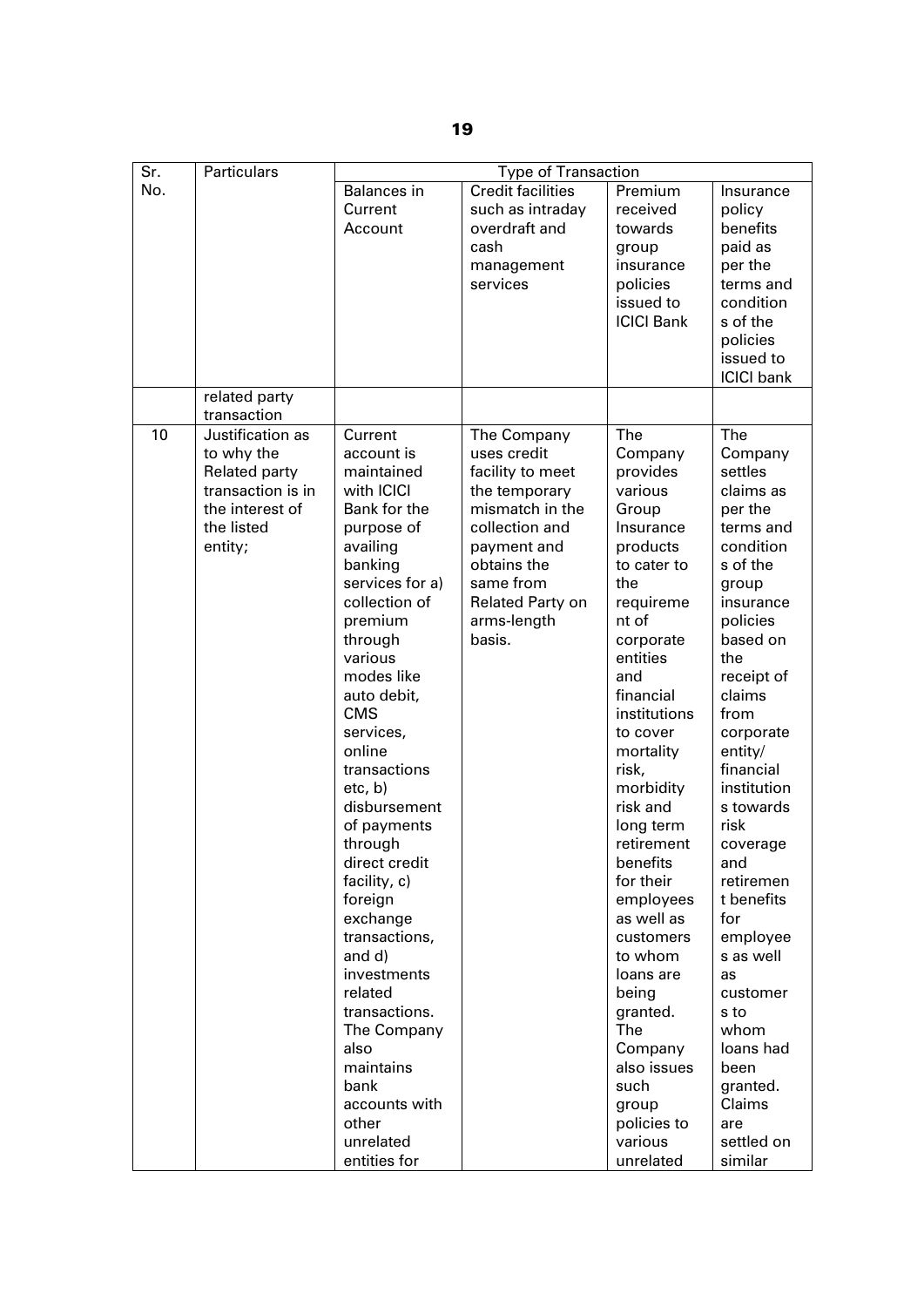| $\overline{\text{Sr.}}$ | <b>Particulars</b>              | <b>Type of Transaction</b> |                          |                      |                   |
|-------------------------|---------------------------------|----------------------------|--------------------------|----------------------|-------------------|
| No.                     |                                 | Balances in                | <b>Credit facilities</b> | Premium              | Insurance         |
|                         |                                 | Current                    | such as intraday         | received             | policy            |
|                         |                                 | Account                    | overdraft and            | towards              | benefits          |
|                         |                                 |                            | cash                     | group                | paid as           |
|                         |                                 |                            | management               | insurance            | per the           |
|                         |                                 |                            | services                 | policies             | terms and         |
|                         |                                 |                            |                          | issued to            | condition         |
|                         |                                 |                            |                          | <b>ICICI Bank</b>    | s of the          |
|                         |                                 |                            |                          |                      |                   |
|                         |                                 |                            |                          |                      | policies          |
|                         |                                 |                            |                          |                      | issued to         |
|                         |                                 |                            |                          |                      | <b>ICICI</b> bank |
|                         | related party                   |                            |                          |                      |                   |
| 10                      | transaction<br>Justification as | Current                    |                          | The                  | <b>The</b>        |
|                         |                                 |                            | The Company              |                      |                   |
|                         | to why the                      | account is                 | uses credit              | Company              | Company           |
|                         | <b>Related party</b>            | maintained                 | facility to meet         | provides             | settles           |
|                         | transaction is in               | with ICICI                 | the temporary            | various              | claims as         |
|                         | the interest of                 | Bank for the               | mismatch in the          | Group                | per the           |
|                         | the listed                      | purpose of                 | collection and           | Insurance            | terms and         |
|                         | entity;                         | availing                   | payment and              | products             | condition         |
|                         |                                 | banking                    | obtains the              | to cater to          | s of the          |
|                         |                                 | services for a)            | same from                | the                  | group             |
|                         |                                 | collection of              | Related Party on         | requireme            | insurance         |
|                         |                                 | premium                    | arms-length              | nt of                | policies          |
|                         |                                 | through                    | basis.                   | corporate            | based on          |
|                         |                                 | various                    |                          | entities             | the               |
|                         |                                 | modes like                 |                          | and                  | receipt of        |
|                         |                                 | auto debit,                |                          | financial            | claims            |
|                         |                                 | <b>CMS</b>                 |                          | institutions         | from              |
|                         |                                 | services,                  |                          | to cover             | corporate         |
|                         |                                 | online                     |                          | mortality            | entity/           |
|                         |                                 | transactions               |                          | risk,                | financial         |
|                         |                                 | etc, b)                    |                          | morbidity            | institution       |
|                         |                                 | disbursement               |                          | risk and             | s towards         |
|                         |                                 | of payments                |                          | long term            | risk              |
|                         |                                 | through                    |                          | retirement           | coverage          |
|                         |                                 | direct credit              |                          | benefits             | and               |
|                         |                                 | facility, c)               |                          | for their            | retiremen         |
|                         |                                 | foreign                    |                          | employees            | t benefits        |
|                         |                                 | exchange                   |                          | as well as           | for               |
|                         |                                 | transactions,              |                          | customers            | employee          |
|                         |                                 | and d)                     |                          | to whom              | s as well         |
|                         |                                 | investments                |                          | loans are            | as                |
|                         |                                 | related                    |                          | being                | customer          |
|                         |                                 | transactions.              |                          | granted.             | s to              |
|                         |                                 | The Company                |                          | The                  | whom              |
|                         |                                 | also                       |                          | Company              | loans had         |
|                         |                                 | maintains                  |                          | also issues          | been              |
|                         |                                 | bank                       |                          | such                 | granted.          |
|                         |                                 | accounts with              |                          |                      | Claims            |
|                         |                                 | other                      |                          | group<br>policies to |                   |
|                         |                                 | unrelated                  |                          | various              | are<br>settled on |
|                         |                                 |                            |                          |                      |                   |
|                         |                                 | entities for               |                          | unrelated            | similar           |